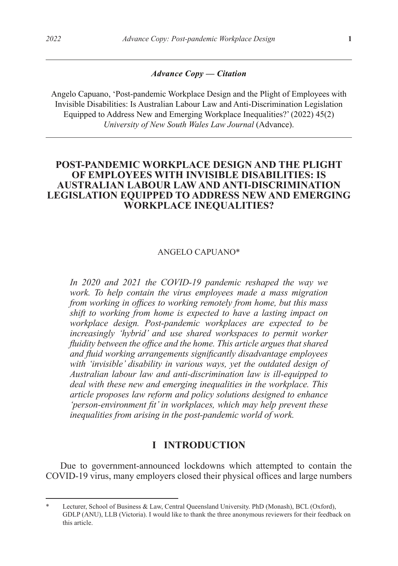#### *Advance Copy — Citation*

Angelo Capuano, 'Post-pandemic Workplace Design and the Plight of Employees with Invisible Disabilities: Is Australian Labour Law and Anti-Discrimination Legislation Equipped to Address New and Emerging Workplace Inequalities?' (2022) 45(2) *University of New South Wales Law Journal* (Advance).

# **POST-PANDEMIC WORKPLACE DESIGN AND THE PLIGHT OF EMPLOYEES WITH INVISIBLE DISABILITIES: IS AUSTRALIAN LABOUR LAW AND ANTI-DISCRIMINATION LEGISLATION EQUIPPED TO ADDRESS NEW AND EMERGING WORKPLACE INEQUALITIES?**

#### ANGELO CAPUANO\*

*In 2020 and 2021 the COVID-19 pandemic reshaped the way we work. To help contain the virus employees made a mass migration from working in offices to working remotely from home, but this mass shift to working from home is expected to have a lasting impact on workplace design. Post-pandemic workplaces are expected to be increasingly 'hybrid' and use shared workspaces to permit worker fluidity between the office and the home. This article argues that shared and fluid working arrangements significantly disadvantage employees with 'invisible' disability in various ways, yet the outdated design of Australian labour law and anti-discrimination law is ill-equipped to deal with these new and emerging inequalities in the workplace. This article proposes law reform and policy solutions designed to enhance 'person-environment fit' in workplaces, which may help prevent these inequalities from arising in the post-pandemic world of work.*

#### **I INTRODUCTION**

Due to government-announced lockdowns which attempted to contain the COVID-19 virus, many employers closed their physical offices and large numbers

Lecturer, School of Business & Law, Central Queensland University. PhD (Monash), BCL (Oxford), GDLP (ANU), LLB (Victoria). I would like to thank the three anonymous reviewers for their feedback on this article.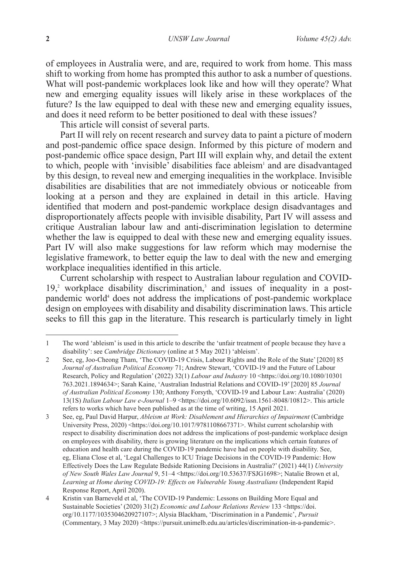of employees in Australia were, and are, required to work from home. This mass shift to working from home has prompted this author to ask a number of questions. What will post-pandemic workplaces look like and how will they operate? What new and emerging equality issues will likely arise in these workplaces of the future? Is the law equipped to deal with these new and emerging equality issues, and does it need reform to be better positioned to deal with these issues?

This article will consist of several parts.

Part II will rely on recent research and survey data to paint a picture of modern and post-pandemic office space design. Informed by this picture of modern and post-pandemic office space design, Part III will explain why, and detail the extent to which, people with 'invisible' disabilities face ableism<sup>1</sup> and are disadvantaged by this design, to reveal new and emerging inequalities in the workplace. Invisible disabilities are disabilities that are not immediately obvious or noticeable from looking at a person and they are explained in detail in this article. Having identified that modern and post-pandemic workplace design disadvantages and disproportionately affects people with invisible disability, Part IV will assess and critique Australian labour law and anti-discrimination legislation to determine whether the law is equipped to deal with these new and emerging equality issues. Part IV will also make suggestions for law reform which may modernise the legislative framework, to better equip the law to deal with the new and emerging workplace inequalities identified in this article.

Current scholarship with respect to Australian labour regulation and COVID- $19<sup>2</sup>$  workplace disability discrimination,<sup>3</sup> and issues of inequality in a postpandemic world<sup>4</sup> does not address the implications of post-pandemic workplace design on employees with disability and disability discrimination laws. This article seeks to fill this gap in the literature. This research is particularly timely in light

<sup>1</sup> The word 'ableism' is used in this article to describe the 'unfair treatment of people because they have a disability': see *Cambridge Dictionary* (online at 5 May 2021) 'ableism'.

<sup>2</sup> See, eg, Joo-Cheong Tham, 'The COVID-19 Crisis, Labour Rights and the Role of the State' [2020] 85 *Journal of Australian Political Economy* 71; Andrew Stewart, 'COVID-19 and the Future of Labour Research, Policy and Regulation' (2022) 32(1) *Labour and Industry* 10 <https://doi.org/10.1080/10301 763.2021.1894634>; Sarah Kaine, 'Australian Industrial Relations and COVID-19' [2020] 85 *Journal of Australian Political Economy* 130; Anthony Forsyth, 'COVID-19 and Labour Law: Australia' (2020) 13(1S) *Italian Labour Law e-Journal* 1–9 <https://doi.org/10.6092/issn.1561-8048/10812>. This article refers to works which have been published as at the time of writing, 15 April 2021.

<sup>3</sup> See, eg, Paul David Harpur, *Ableism at Work: Disablement and Hierarchies of Impairment* (Cambridge University Press, 2020) <https://doi.org/10.1017/9781108667371>. Whilst current scholarship with respect to disability discrimination does not address the implications of post-pandemic workplace design on employees with disability, there is growing literature on the implications which certain features of education and health care during the COVID-19 pandemic have had on people with disability. See, eg, Eliana Close et al, 'Legal Challenges to ICU Triage Decisions in the COVID-19 Pandemic: How Effectively Does the Law Regulate Bedside Rationing Decisions in Australia?' (2021) 44(1) *University of New South Wales Law Journal* 9, 51–4 <https://doi.org/10.53637/FSJG1698>; Natalie Brown et al, *Learning at Home during COVID-19: Effects on Vulnerable Young Australians* (Independent Rapid Response Report, April 2020).

<sup>4</sup> Kristin van Barneveld et al, 'The COVID-19 Pandemic: Lessons on Building More Equal and Sustainable Societies' (2020) 31(2) *Economic and Labour Relations Review* 133 <https://doi. org/10.1177/1035304620927107>; Alysia Blackham, 'Discrimination in a Pandemic', *Pursuit* (Commentary, 3 May 2020) <https://pursuit.unimelb.edu.au/articles/discrimination-in-a-pandemic>.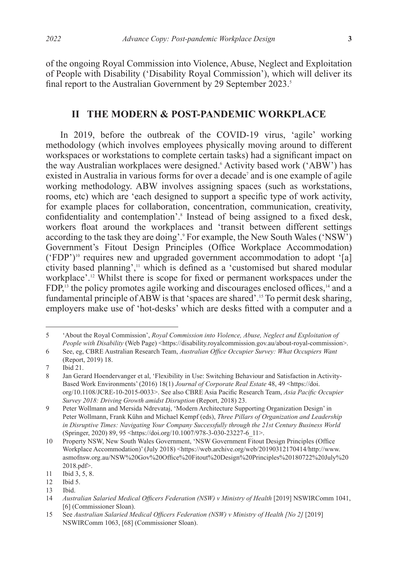of the ongoing Royal Commission into Violence, Abuse, Neglect and Exploitation of People with Disability ('Disability Royal Commission'), which will deliver its final report to the Australian Government by 29 September 2023.<sup>5</sup>

#### **II THE MODERN & POST-PANDEMIC WORKPLACE**

In 2019, before the outbreak of the COVID-19 virus, 'agile' working methodology (which involves employees physically moving around to different workspaces or workstations to complete certain tasks) had a significant impact on the way Australian workplaces were designed. Activity based work ('ABW') has existed in Australia in various forms for over a decade<sup>7</sup> and is one example of agile working methodology. ABW involves assigning spaces (such as workstations, rooms, etc) which are 'each designed to support a specific type of work activity, for example places for collaboration, concentration, communication, creativity, confidentiality and contemplation'.<sup>8</sup> Instead of being assigned to a fixed desk, workers float around the workplaces and 'transit between different settings according to the task they are doing'.9 For example, the New South Wales ('NSW') Government's Fitout Design Principles (Office Workplace Accommodation)  $($ <sup>(</sup>FDP<sup>'</sup>)<sup>10</sup> requires new and upgraded government accommodation to adopt '[a] ctivity based planning',<sup>11</sup> which is defined as a 'customised but shared modular workplace'.12 Whilst there is scope for fixed or permanent workspaces under the  $FDP<sub>i</sub><sup>3</sup>$  the policy promotes agile working and discourages enclosed offices,<sup>14</sup> and a fundamental principle of ABW is that 'spaces are shared'.15 To permit desk sharing, employers make use of 'hot-desks' which are desks fitted with a computer and a

<sup>5</sup> 'About the Royal Commission', *Royal Commission into Violence, Abuse, Neglect and Exploitation of People with Disability* (Web Page) <https://disability.royalcommission.gov.au/about-royal-commission>.

<sup>6</sup> See, eg, CBRE Australian Research Team, *Australian Office Occupier Survey: What Occupiers Want* (Report, 2019) 18.

<sup>7</sup> Ibid 21.<br>8 Jan Gera

<sup>8</sup> Jan Gerard Hoendervanger et al, 'Flexibility in Use: Switching Behaviour and Satisfaction in Activity-Based Work Environments' (2016) 18(1) *Journal of Corporate Real Estate* 48, 49 <https://doi. org/10.1108/JCRE-10-2015-0033>. See also CBRE Asia Pacific Research Team, *Asia Pacific Occupier Survey 2018: Driving Growth amidst Disruption* (Report, 2018) 23.

<sup>9</sup> Peter Wollmann and Mersida Ndrevataj, 'Modern Architecture Supporting Organization Design' in Peter Wollmann, Frank Kühn and Michael Kempf (eds), *Three Pillars of Organization and Leadership in Disruptive Times: Navigating Your Company Successfully through the 21st Century Business World*  (Springer, 2020) 89, 95 <https://doi.org/10.1007/978-3-030-23227-6\_11>.

<sup>10</sup> Property NSW, New South Wales Government, 'NSW Government Fitout Design Principles (Office Workplace Accommodation)' (July 2018) <https://web.archive.org/web/20190312170414/http://www. asmofnsw.org.au/NSW%20Gov%20Office%20Fitout%20Design%20Principles%20180722%20July%20 2018.pdf>.

<sup>11</sup> Ibid 3, 5, 8.<br>12 Ibid 5.

Ibid 5.

<sup>13</sup> Ibid.<br>14  $A$ ustr

<sup>14</sup> *Australian Salaried Medical Officers Federation (NSW) v Ministry of Health* [2019] NSWIRComm 1041, [6] (Commissioner Sloan).

<sup>15</sup> See Australian Salaried Medical Officers Federation (NSW) v Ministry of Health [No 2] [2019] NSWIRComm 1063, [68] (Commissioner Sloan).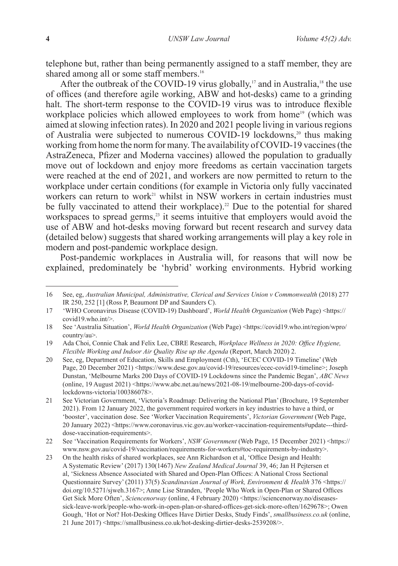telephone but, rather than being permanently assigned to a staff member, they are shared among all or some staff members.<sup>16</sup>

After the outbreak of the COVID-19 virus globally,<sup>17</sup> and in Australia,<sup>18</sup> the use of offices (and therefore agile working, ABW and hot-desks) came to a grinding halt. The short-term response to the COVID-19 virus was to introduce flexible workplace policies which allowed employees to work from home<sup>19</sup> (which was aimed at slowing infection rates). In 2020 and 2021 people living in various regions of Australia were subjected to numerous COVID-19 lockdowns,<sup>20</sup> thus making working from home the norm for many. The availability of COVID-19 vaccines (the AstraZeneca, Pfizer and Moderna vaccines) allowed the population to gradually move out of lockdown and enjoy more freedoms as certain vaccination targets were reached at the end of 2021, and workers are now permitted to return to the workplace under certain conditions (for example in Victoria only fully vaccinated workers can return to work<sup>21</sup> whilst in NSW workers in certain industries must be fully vaccinated to attend their workplace).<sup>22</sup> Due to the potential for shared workspaces to spread germs, $23$  it seems intuitive that employers would avoid the use of ABW and hot-desks moving forward but recent research and survey data (detailed below) suggests that shared working arrangements will play a key role in modern and post-pandemic workplace design.

Post-pandemic workplaces in Australia will, for reasons that will now be explained, predominately be 'hybrid' working environments. Hybrid working

<sup>16</sup> See, eg, *Australian Municipal, Administrative, Clerical and Services Union v Commonwealth* (2018) 277 IR 250, 252 [1] (Ross P, Beaumont DP and Saunders C).

<sup>17 &#</sup>x27;WHO Coronavirus Disease (COVID-19) Dashboard', *World Health Organization* (Web Page) <https:// covid19.who.int/>.

<sup>18</sup> See 'Australia Situation', *World Health Organization* (Web Page) <https://covid19.who.int/region/wpro/ country/au>.

<sup>19</sup> Ada Choi, Connie Chak and Felix Lee, CBRE Research, *Workplace Wellness in 2020: Office Hygiene, Flexible Working and Indoor Air Quality Rise up the Agenda* (Report, March 2020) 2.

<sup>20</sup> See, eg, Department of Education, Skills and Employment (Cth), 'ECEC COVID-19 Timeline' (Web Page, 20 December 2021) <https://www.dese.gov.au/covid-19/resources/ecec-covid19-timeline>; Joseph Dunstan, 'Melbourne Marks 200 Days of COVID-19 Lockdowns since the Pandemic Began', *ABC News*  (online, 19 August 2021) <https://www.abc.net.au/news/2021-08-19/melbourne-200-days-of-covidlockdowns-victoria/100386078>.

<sup>21</sup> See Victorian Government, 'Victoria's Roadmap: Delivering the National Plan' (Brochure, 19 September 2021). From 12 January 2022, the government required workers in key industries to have a third, or 'booster', vaccination dose. See 'Worker Vaccination Requirements', *Victorian Government* (Web Page, 20 January 2022) <https://www.coronavirus.vic.gov.au/worker-vaccination-requirements#update---thirddose-vaccination-requirements>.

<sup>22</sup> See 'Vaccination Requirements for Workers', *NSW Government* (Web Page, 15 December 2021) <https:// www.nsw.gov.au/covid-19/vaccination/requirements-for-workers#toc-requirements-by-industry>.

<sup>23</sup> On the health risks of shared workplaces, see Ann Richardson et al, 'Office Design and Health: A Systematic Review' (2017) 130(1467) *New Zealand Medical Journal* 39, 46; Jan H Pejtersen et al, 'Sickness Absence Associated with Shared and Open-Plan Offices: A National Cross Sectional Questionnaire Survey' (2011) 37(5) *Scandinavian Journal of Work, Environment & Health* 376 <https:// doi.org/10.5271/sjweh.3167>; Anne Lise Stranden, 'People Who Work in Open-Plan or Shared Offices Get Sick More Often', *Sciencenorway* (online, 4 February 2020) <https://sciencenorway.no/diseasessick-leave-work/people-who-work-in-open-plan-or-shared-offices-get-sick-more-often/1629678>; Owen Gough, 'Hot or Not? Hot-Desking Offices Have Dirtier Desks, Study Finds', *smallbusiness.co.uk* (online, 21 June 2017) <https://smallbusiness.co.uk/hot-desking-dirtier-desks-2539208/>.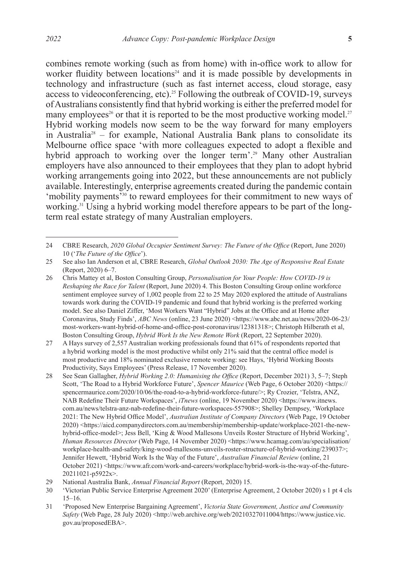combines remote working (such as from home) with in-office work to allow for worker fluidity between  $\overline{locations}^{24}$  and it is made possible by developments in technology and infrastructure (such as fast internet access, cloud storage, easy access to videoconferencing, etc).25 Following the outbreak of COVID-19, surveys of Australians consistently find that hybrid working is either the preferred model for many employees<sup>26</sup> or that it is reported to be the most productive working model.<sup>27</sup> Hybrid working models now seem to be the way forward for many employers in Australia28 – for example, National Australia Bank plans to consolidate its Melbourne office space 'with more colleagues expected to adopt a flexible and hybrid approach to working over the longer term'.<sup>29</sup> Many other Australian employers have also announced to their employees that they plan to adopt hybrid working arrangements going into 2022, but these announcements are not publicly available. Interestingly, enterprise agreements created during the pandemic contain 'mobility payments<sup>330</sup> to reward employees for their commitment to new ways of working.<sup>31</sup> Using a hybrid working model therefore appears to be part of the longterm real estate strategy of many Australian employers.

<sup>24</sup> CBRE Research, *2020 Global Occupier Sentiment Survey: The Future of the Office* (Report, June 2020) 10 ('*The Future of the Office*').

<sup>25</sup> See also Ian Anderson et al, CBRE Research, *Global Outlook 2030: The Age of Responsive Real Estate* (Report, 2020) 6–7.

<sup>26</sup> Chris Mattey et al, Boston Consulting Group, *Personalisation for Your People: How COVID-19 is Reshaping the Race for Talent* (Report, June 2020) 4. This Boston Consulting Group online workforce sentiment employee survey of 1,002 people from 22 to 25 May 2020 explored the attitude of Australians towards work during the COVID-19 pandemic and found that hybrid working is the preferred working model. See also Daniel Ziffer, 'Most Workers Want "Hybrid" Jobs at the Office and at Home after Coronavirus, Study Finds', *ABC News* (online, 23 June 2020) <https://www.abc.net.au/news/2020-06-23/ most-workers-want-hybrid-of-home-and-office-post-coronavirus/12381318>; Christoph Hilberath et al, Boston Consulting Group, *Hybrid Work Is the New Remote Work* (Report, 22 September 2020).

<sup>27</sup> A Hays survey of 2,557 Australian working professionals found that 61% of respondents reported that a hybrid working model is the most productive whilst only 21% said that the central office model is most productive and 18% nominated exclusive remote working: see Hays, 'Hybrid Working Boosts Productivity, Says Employees' (Press Release, 17 November 2020).

<sup>28</sup> See Sean Gallagher, *Hybrid Working 2.0: Humanising the Office* (Report, December 2021) 3, 5–7; Steph Scott, 'The Road to a Hybrid Workforce Future', *Spencer Maurice* (Web Page, 6 October 2020) <https:// spencermaurice.com/2020/10/06/the-road-to-a-hybrid-workforce-future/>; Ry Crozier, 'Telstra, ANZ, NAB Redefine Their Future Workspaces', *iTnews* (online, 19 November 2020) <https://www.itnews. com.au/news/telstra-anz-nab-redefine-their-future-workspaces-557908>; Shelley Dempsey, 'Workplace 2021: The New Hybrid Office Model', *Australian Institute of Company Directors* (Web Page, 19 October 2020) <https://aicd.companydirectors.com.au/membership/membership-update/workplace-2021-the-newhybrid-office-model>; Jess Bell, 'King & Wood Mallesons Unveils Roster Structure of Hybrid Working', *Human Resources Director* (Web Page, 14 November 2020) <https://www.hcamag.com/au/specialisation/ workplace-health-and-safety/king-wood-mallesons-unveils-roster-structure-of-hybrid-working/239037>; Jennifer Hewett, 'Hybrid Work Is the Way of the Future', *Australian Financial Review* (online, 21 October 2021) <https://www.afr.com/work-and-careers/workplace/hybrid-work-is-the-way-of-the-future-20211021-p5922x>.

<sup>29</sup> National Australia Bank, *Annual Financial Report* (Report, 2020) 15.

<sup>30</sup> 'Victorian Public Service Enterprise Agreement 2020' (Enterprise Agreement, 2 October 2020) s 1 pt 4 cls 15–16.

<sup>31 &#</sup>x27;Proposed New Enterprise Bargaining Agreement', *Victoria State Government, Justice and Community*  Safety (Web Page, 28 July 2020) <http://web.archive.org/web/20210327011004/https://www.justice.vic. gov.au/proposedEBA>.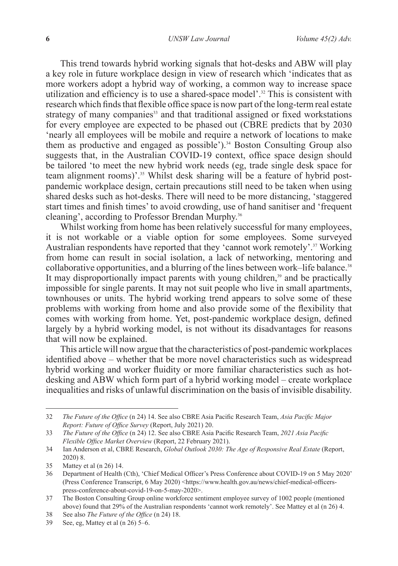This trend towards hybrid working signals that hot-desks and ABW will play a key role in future workplace design in view of research which 'indicates that as more workers adopt a hybrid way of working, a common way to increase space utilization and efficiency is to use a shared-space model'.<sup>32</sup> This is consistent with research which finds that flexible office space is now part of the long-term real estate strategy of many companies<sup>33</sup> and that traditional assigned or fixed workstations for every employee are expected to be phased out (CBRE predicts that by 2030 'nearly all employees will be mobile and require a network of locations to make them as productive and engaged as possible').<sup>34</sup> Boston Consulting Group also suggests that, in the Australian COVID-19 context, office space design should be tailored 'to meet the new hybrid work needs (eg, trade single desk space for team alignment rooms)'.<sup>35</sup> Whilst desk sharing will be a feature of hybrid postpandemic workplace design, certain precautions still need to be taken when using shared desks such as hot-desks. There will need to be more distancing, 'staggered start times and finish times' to avoid crowding, use of hand sanitiser and 'frequent cleaning', according to Professor Brendan Murphy.36

Whilst working from home has been relatively successful for many employees, it is not workable or a viable option for some employees. Some surveyed Australian respondents have reported that they 'cannot work remotely'.<sup>37</sup> Working from home can result in social isolation, a lack of networking, mentoring and collaborative opportunities, and a blurring of the lines between work–life balance.<sup>38</sup> It may disproportionally impact parents with young children,<sup>39</sup> and be practically impossible for single parents. It may not suit people who live in small apartments, townhouses or units. The hybrid working trend appears to solve some of these problems with working from home and also provide some of the flexibility that comes with working from home. Yet, post-pandemic workplace design, defined largely by a hybrid working model, is not without its disadvantages for reasons that will now be explained.

This article will now argue that the characteristics of post-pandemic workplaces identified above – whether that be more novel characteristics such as widespread hybrid working and worker fluidity or more familiar characteristics such as hotdesking and ABW which form part of a hybrid working model – create workplace inequalities and risks of unlawful discrimination on the basis of invisible disability.

<sup>32</sup> *The Future of the Office* (n 24) 14. See also CBRE Asia Pacific Research Team, *Asia Pacific Major Report: Future of Office Survey* (Report, July 2021) 20.

<sup>33</sup> *The Future of the Office* (n 24) 12. See also CBRE Asia Pacific Research Team, *2021 Asia Pacific Flexible Office Market Overview* (Report, 22 February 2021).

<sup>34</sup> Ian Anderson et al, CBRE Research, *Global Outlook 2030: The Age of Responsive Real Estate* (Report, 2020) 8.

<sup>35</sup> Mattey et al (n 26) 14.

<sup>36</sup> Department of Health (Cth), 'Chief Medical Officer's Press Conference about COVID-19 on 5 May 2020' (Press Conference Transcript, 6 May 2020) <https://www.health.gov.au/news/chief-medical-officerspress-conference-about-covid-19-on-5-may-2020>.

<sup>37</sup> The Boston Consulting Group online workforce sentiment employee survey of 1002 people (mentioned above) found that 29% of the Australian respondents 'cannot work remotely'. See Mattey et al (n 26) 4.

<sup>38</sup> See also *The Future of the Office* (n 24) 18.

<sup>39</sup> See, eg, Mattey et al (n 26) 5–6.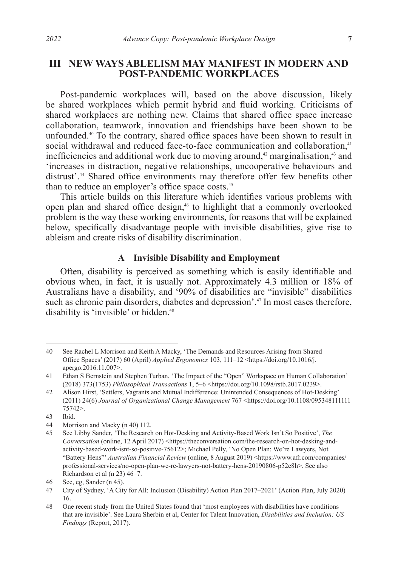# **III NEW WAYS ABLELISM MAY MANIFEST IN MODERN AND POST-PANDEMIC WORKPLACES**

Post-pandemic workplaces will, based on the above discussion, likely be shared workplaces which permit hybrid and fluid working. Criticisms of shared workplaces are nothing new. Claims that shared office space increase collaboration, teamwork, innovation and friendships have been shown to be unfounded.<sup>40</sup> To the contrary, shared office spaces have been shown to result in social withdrawal and reduced face-to-face communication and collaboration,<sup>41</sup> inefficiencies and additional work due to moving around, $42$  marginalisation, $43$  and 'increases in distraction, negative relationships, uncooperative behaviours and distrust'.<sup>44</sup> Shared office environments may therefore offer few benefits other than to reduce an employer's office space costs.<sup>45</sup>

This article builds on this literature which identifies various problems with open plan and shared office design,<sup>46</sup> to highlight that a commonly overlooked problem is the way these working environments, for reasons that will be explained below, specifically disadvantage people with invisible disabilities, give rise to ableism and create risks of disability discrimination.

#### **A Invisible Disability and Employment**

Often, disability is perceived as something which is easily identifiable and obvious when, in fact, it is usually not. Approximately 4.3 million or 18% of Australians have a disability, and '90% of disabilities are "invisible" disabilities such as chronic pain disorders, diabetes and depression'.<sup>47</sup> In most cases therefore, disability is 'invisible' or hidden.<sup>48</sup>

<sup>40</sup> See Rachel L Morrison and Keith A Macky, 'The Demands and Resources Arising from Shared Office Spaces' (2017) 60 (April) *Applied Ergonomics* 103, 111–12 <https://doi.org/10.1016/j. apergo.2016.11.007>.

<sup>41</sup> Ethan S Bernstein and Stephen Turban, 'The Impact of the "Open" Workspace on Human Collaboration' (2018) 373(1753) *Philosophical Transactions* 1, 5–6 <https://doi.org/10.1098/rstb.2017.0239>.

<sup>42</sup> Alison Hirst, 'Settlers, Vagrants and Mutual Indifference: Unintended Consequences of Hot-Desking' (2011) 24(6) *Journal of Organizational Change Management* 767 <https://doi.org/10.1108/095348111111 75742>.

<sup>43</sup> Ibid.

<sup>44</sup> Morrison and Macky (n 40) 112.

<sup>45</sup> See Libby Sander, 'The Research on Hot-Desking and Activity-Based Work Isn't So Positive', *The Conversation* (online, 12 April 2017) <https://theconversation.com/the-research-on-hot-desking-andactivity-based-work-isnt-so-positive-75612>; Michael Pelly, 'No Open Plan: We're Lawyers, Not "Battery Hens"' *Australian Financial Review* (online, 8 August 2019) <https://www.afr.com/companies/ professional-services/no-open-plan-we-re-lawyers-not-battery-hens-20190806-p52e8h>. See also Richardson et al (n 23) 46–7.

<sup>46</sup> See, eg, Sander (n 45).

<sup>47</sup> City of Sydney, 'A City for All: Inclusion (Disability) Action Plan 2017–2021' (Action Plan, July 2020) 16.

<sup>48</sup> One recent study from the United States found that 'most employees with disabilities have conditions that are invisible'. See Laura Sherbin et al, Center for Talent Innovation, *Disabilities and Inclusion: US Findings* (Report, 2017).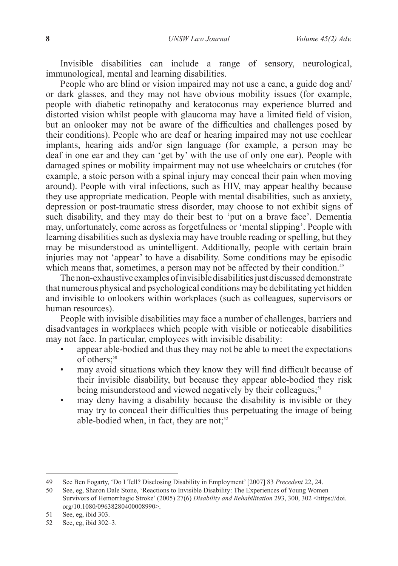Invisible disabilities can include a range of sensory, neurological, immunological, mental and learning disabilities.

People who are blind or vision impaired may not use a cane, a guide dog and/ or dark glasses, and they may not have obvious mobility issues (for example, people with diabetic retinopathy and keratoconus may experience blurred and distorted vision whilst people with glaucoma may have a limited field of vision, but an onlooker may not be aware of the difficulties and challenges posed by their conditions). People who are deaf or hearing impaired may not use cochlear implants, hearing aids and/or sign language (for example, a person may be deaf in one ear and they can 'get by' with the use of only one ear). People with damaged spines or mobility impairment may not use wheelchairs or crutches (for example, a stoic person with a spinal injury may conceal their pain when moving around). People with viral infections, such as HIV, may appear healthy because they use appropriate medication. People with mental disabilities, such as anxiety, depression or post-traumatic stress disorder, may choose to not exhibit signs of such disability, and they may do their best to 'put on a brave face'. Dementia may, unfortunately, come across as forgetfulness or 'mental slipping'. People with learning disabilities such as dyslexia may have trouble reading or spelling, but they may be misunderstood as unintelligent. Additionally, people with certain brain injuries may not 'appear' to have a disability. Some conditions may be episodic which means that, sometimes, a person may not be affected by their condition.<sup>49</sup>

The non-exhaustive examples of invisible disabilities just discussed demonstrate that numerous physical and psychological conditions may be debilitating yet hidden and invisible to onlookers within workplaces (such as colleagues, supervisors or human resources).

People with invisible disabilities may face a number of challenges, barriers and disadvantages in workplaces which people with visible or noticeable disabilities may not face. In particular, employees with invisible disability:

- appear able-bodied and thus they may not be able to meet the expectations of others:<sup>50</sup>
- may avoid situations which they know they will find difficult because of their invisible disability, but because they appear able-bodied they risk being misunderstood and viewed negatively by their colleagues;<sup>51</sup>
- may deny having a disability because the disability is invisible or they may try to conceal their difficulties thus perpetuating the image of being able-bodied when, in fact, they are not; $52$

<sup>49</sup> See Ben Fogarty, 'Do I Tell? Disclosing Disability in Employment' [2007] 83 *Precedent* 22, 24.

<sup>50</sup> See, eg, Sharon Dale Stone, 'Reactions to Invisible Disability: The Experiences of Young Women Survivors of Hemorrhagic Stroke' (2005) 27(6) *Disability and Rehabilitation* 293, 300, 302 <https://doi. org/10.1080/09638280400008990>.

<sup>51</sup> See, eg, ibid 303.

<sup>52</sup> See, eg, ibid 302–3.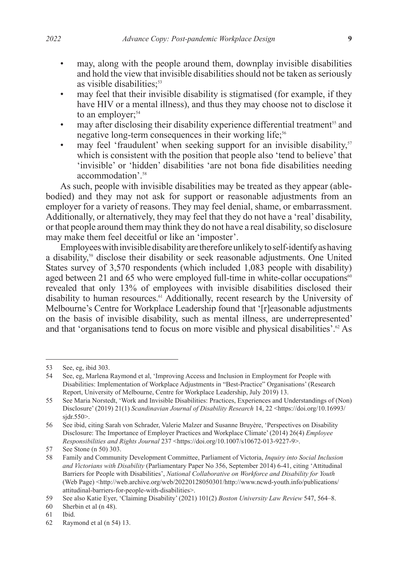- may, along with the people around them, downplay invisible disabilities and hold the view that invisible disabilities should not be taken as seriously as visible disabilities:<sup>53</sup>
- may feel that their invisible disability is stigmatised (for example, if they have HIV or a mental illness), and thus they may choose not to disclose it to an employer: $54$
- may after disclosing their disability experience differential treatment<sup>55</sup> and negative long-term consequences in their working life;<sup>56</sup>
- may feel 'fraudulent' when seeking support for an invisible disability,<sup>57</sup> which is consistent with the position that people also 'tend to believe' that 'invisible' or 'hidden' disabilities 'are not bona fide disabilities needing accommodation'<sup>58</sup>

As such, people with invisible disabilities may be treated as they appear (ablebodied) and they may not ask for support or reasonable adjustments from an employer for a variety of reasons. They may feel denial, shame, or embarrassment. Additionally, or alternatively, they may feel that they do not have a 'real' disability, or that people around them may think they do not have a real disability, so disclosure may make them feel deceitful or like an 'imposter'.

Employees with invisible disability are therefore unlikely to self-identify as having a disability,<sup>59</sup> disclose their disability or seek reasonable adjustments. One United States survey of 3,570 respondents (which included 1,083 people with disability) aged between 21 and 65 who were employed full-time in white-collar occupations $60$ revealed that only 13% of employees with invisible disabilities disclosed their disability to human resources.<sup>61</sup> Additionally, recent research by the University of Melbourne's Centre for Workplace Leadership found that '[r]easonable adjustments on the basis of invisible disability, such as mental illness, are underrepresented' and that 'organisations tend to focus on more visible and physical disabilities'.<sup>62</sup> As

<sup>53</sup> See, eg, ibid 303.<br>54 See, eg, Marlena

<sup>54</sup> See, eg, Marlena Raymond et al, 'Improving Access and Inclusion in Employment for People with Disabilities: Implementation of Workplace Adjustments in "Best-Practice" Organisations' (Research Report, University of Melbourne, Centre for Workplace Leadership, July 2019) 13.

<sup>55</sup> See Maria Norstedt, 'Work and Invisible Disabilities: Practices, Experiences and Understandings of (Non) Disclosure' (2019) 21(1) *Scandinavian Journal of Disability Research* 14, 22 <https://doi.org/10.16993/ sjdr.550>.

<sup>56</sup> See ibid, citing Sarah von Schrader, Valerie Malzer and Susanne Bruyère, 'Perspectives on Disability Disclosure: The Importance of Employer Practices and Workplace Climate' (2014) 26(4) *Employee Responsibilities and Rights Journal* 237 <https://doi.org/10.1007/s10672-013-9227-9>.

<sup>57</sup> See Stone (n 50) 303.

<sup>58</sup> Family and Community Development Committee, Parliament of Victoria, *Inquiry into Social Inclusion and Victorians with Disability* (Parliamentary Paper No 356, September 2014) 6-41, citing 'Attitudinal Barriers for People with Disabilities', *National Collaborative on Workforce and Disability for Youth* (Web Page) <http://web.archive.org/web/20220128050301/http://www.ncwd-youth.info/publications/ attitudinal-barriers-for-people-with-disabilities>.

<sup>59</sup> See also Katie Eyer, 'Claiming Disability' (2021) 101(2) *Boston University Law Review* 547, 564–8.

<sup>60</sup> Sherbin et al (n 48).

<sup>61</sup> Ibid.

<sup>62</sup> Raymond et al (n 54) 13.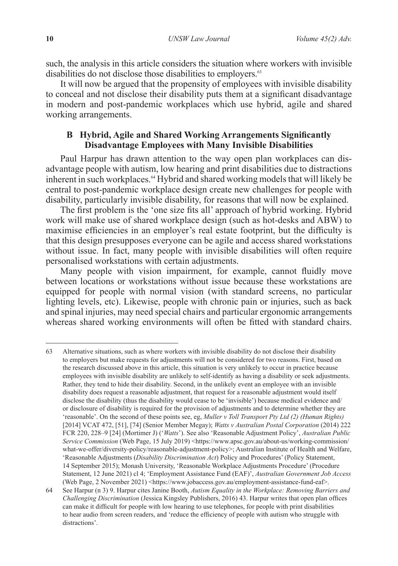such, the analysis in this article considers the situation where workers with invisible disabilities do not disclose those disabilities to employers.<sup>63</sup>

It will now be argued that the propensity of employees with invisible disability to conceal and not disclose their disability puts them at a significant disadvantage in modern and post-pandemic workplaces which use hybrid, agile and shared working arrangements.

# **B Hybrid, Agile and Shared Working Arrangements Significantly Disadvantage Employees with Many Invisible Disabilities**

Paul Harpur has drawn attention to the way open plan workplaces can disadvantage people with autism, low hearing and print disabilities due to distractions inherent in such workplaces.<sup>64</sup> Hybrid and shared working models that will likely be central to post-pandemic workplace design create new challenges for people with disability, particularly invisible disability, for reasons that will now be explained.

The first problem is the 'one size fits all' approach of hybrid working. Hybrid work will make use of shared workplace design (such as hot-desks and ABW) to maximise efficiencies in an employer's real estate footprint, but the difficulty is that this design presupposes everyone can be agile and access shared workstations without issue. In fact, many people with invisible disabilities will often require personalised workstations with certain adjustments.

Many people with vision impairment, for example, cannot fluidly move between locations or workstations without issue because these workstations are equipped for people with normal vision (with standard screens, no particular lighting levels, etc). Likewise, people with chronic pain or injuries, such as back and spinal injuries, may need special chairs and particular ergonomic arrangements whereas shared working environments will often be fitted with standard chairs.

<sup>63</sup> Alternative situations, such as where workers with invisible disability do not disclose their disability to employers but make requests for adjustments will not be considered for two reasons. First, based on the research discussed above in this article, this situation is very unlikely to occur in practice because employees with invisible disability are unlikely to self-identify as having a disability or seek adjustments. Rather, they tend to hide their disability. Second, in the unlikely event an employee with an invisible disability does request a reasonable adjustment, that request for a reasonable adjustment would itself disclose the disability (thus the disability would cease to be 'invisible') because medical evidence and/ or disclosure of disability is required for the provision of adjustments and to determine whether they are 'reasonable'. On the second of these points see, eg, *Muller v Toll Transport Pty Ltd (2) (Human Rights)* [2014] VCAT 472, [51], [74] (Senior Member Megay); *Watts v Australian Postal Corporation* (2014) 222 FCR 220, 228–9 [24] (Mortimer J) ('*Watts*'). See also 'Reasonable Adjustment Policy', *Australian Public Service Commission* (Web Page, 15 July 2019) <https://www.apsc.gov.au/about-us/working-commission/ what-we-offer/diversity-policy/reasonable-adjustment-policy>; Australian Institute of Health and Welfare, 'Reasonable Adjustments (*Disability Discrimination Act*) Policy and Procedures' (Policy Statement, 14 September 2015); Monash University, 'Reasonable Workplace Adjustments Procedure' (Procedure Statement, 12 June 2021) cl 4; 'Employment Assistance Fund (EAF)', *Australian Government Job Access*  (Web Page, 2 November 2021) <https://www.jobaccess.gov.au/employment-assistance-fund-eaf>.

<sup>64</sup> See Harpur (n 3) 9. Harpur cites Janine Booth, *Autism Equality in the Workplace: Removing Barriers and Challenging Discrimination* (Jessica Kingsley Publishers, 2016) 43. Harpur writes that open plan offices can make it difficult for people with low hearing to use telephones, for people with print disabilities to hear audio from screen readers, and 'reduce the efficiency of people with autism who struggle with distractions'.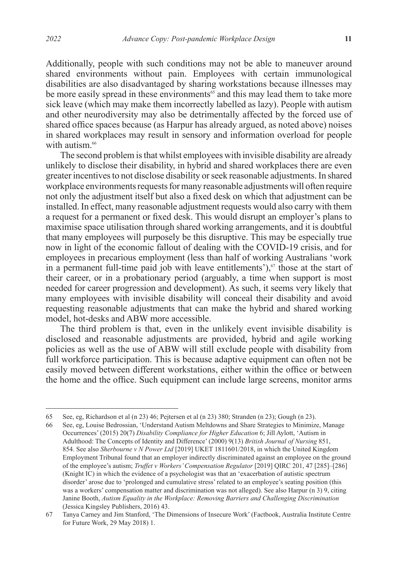Additionally, people with such conditions may not be able to maneuver around shared environments without pain. Employees with certain immunological disabilities are also disadvantaged by sharing workstations because illnesses may be more easily spread in these environments<sup>65</sup> and this may lead them to take more sick leave (which may make them incorrectly labelled as lazy). People with autism and other neurodiversity may also be detrimentally affected by the forced use of shared office spaces because (as Harpur has already argued, as noted above) noises in shared workplaces may result in sensory and information overload for people with autism.<sup>66</sup>

The second problem is that whilst employees with invisible disability are already unlikely to disclose their disability, in hybrid and shared workplaces there are even greater incentives to not disclose disability or seek reasonable adjustments. In shared workplace environments requests for many reasonable adjustments will often require not only the adjustment itself but also a fixed desk on which that adjustment can be installed. In effect, many reasonable adjustment requests would also carry with them a request for a permanent or fixed desk. This would disrupt an employer's plans to maximise space utilisation through shared working arrangements, and it is doubtful that many employees will purposely be this disruptive. This may be especially true now in light of the economic fallout of dealing with the COVID-19 crisis, and for employees in precarious employment (less than half of working Australians 'work in a permanent full-time paid job with leave entitlements'), $\sigma$  those at the start of their career, or in a probationary period (arguably, a time when support is most needed for career progression and development). As such, it seems very likely that many employees with invisible disability will conceal their disability and avoid requesting reasonable adjustments that can make the hybrid and shared working model, hot-desks and ABW more accessible.

The third problem is that, even in the unlikely event invisible disability is disclosed and reasonable adjustments are provided, hybrid and agile working policies as well as the use of ABW will still exclude people with disability from full workforce participation. This is because adaptive equipment can often not be easily moved between different workstations, either within the office or between the home and the office. Such equipment can include large screens, monitor arms

<sup>65</sup> See, eg, Richardson et al (n 23) 46; Pejtersen et al (n 23) 380; Stranden (n 23); Gough (n 23).

<sup>66</sup> See, eg, Louise Bedrossian, 'Understand Autism Meltdowns and Share Strategies to Minimize, Manage Occurrences' (2015) 20(7) *Disability Compliance for Higher Education* 6; Jill Aylott, 'Autism in Adulthood: The Concepts of Identity and Difference' (2000) 9(13) *British Journal of Nursing* 851, 854. See also *Sherbourne v N Power Ltd* [2019] UKET 1811601/2018, in which the United Kingdom Employment Tribunal found that an employer indirectly discriminated against an employee on the ground of the employee's autism; *Truffet v Workers' Compensation Regulator* [2019] QIRC 201, 47 [285]–[286] (Knight IC) in which the evidence of a psychologist was that an 'exacerbation of autistic spectrum disorder' arose due to 'prolonged and cumulative stress' related to an employee's seating position (this was a workers' compensation matter and discrimination was not alleged). See also Harpur (n 3) 9, citing Janine Booth, *Autism Equality in the Workplace: Removing Barriers and Challenging Discrimination* (Jessica Kingsley Publishers, 2016) 43.

<sup>67</sup> Tanya Carney and Jim Stanford, 'The Dimensions of Insecure Work' (Factbook, Australia Institute Centre for Future Work, 29 May 2018) 1.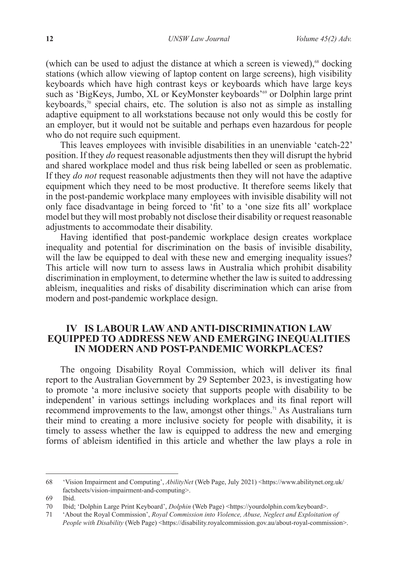(which can be used to adjust the distance at which a screen is viewed),<sup>68</sup> docking stations (which allow viewing of laptop content on large screens), high visibility keyboards which have high contrast keys or keyboards which have large keys such as 'BigKeys, Jumbo, XL or KeyMonster keyboards'<sup>69</sup> or Dolphin large print keyboards, $\sqrt[70]{\ }$  special chairs, etc. The solution is also not as simple as installing adaptive equipment to all workstations because not only would this be costly for an employer, but it would not be suitable and perhaps even hazardous for people who do not require such equipment.

This leaves employees with invisible disabilities in an unenviable 'catch-22' position. If they *do* request reasonable adjustments then they will disrupt the hybrid and shared workplace model and thus risk being labelled or seen as problematic. If they *do not* request reasonable adjustments then they will not have the adaptive equipment which they need to be most productive. It therefore seems likely that in the post-pandemic workplace many employees with invisible disability will not only face disadvantage in being forced to 'fit' to a 'one size fits all' workplace model but they will most probably not disclose their disability or request reasonable adjustments to accommodate their disability.

Having identified that post-pandemic workplace design creates workplace inequality and potential for discrimination on the basis of invisible disability, will the law be equipped to deal with these new and emerging inequality issues? This article will now turn to assess laws in Australia which prohibit disability discrimination in employment, to determine whether the law is suited to addressing ableism, inequalities and risks of disability discrimination which can arise from modern and post-pandemic workplace design.

# **IV IS LABOUR LAW AND ANTI-DISCRIMINATION LAW EQUIPPED TO ADDRESS NEW AND EMERGING INEQUALITIES IN MODERN AND POST-PANDEMIC WORKPLACES?**

The ongoing Disability Royal Commission, which will deliver its final report to the Australian Government by 29 September 2023, is investigating how to promote 'a more inclusive society that supports people with disability to be independent' in various settings including workplaces and its final report will recommend improvements to the law, amongst other things.<sup>71</sup> As Australians turn their mind to creating a more inclusive society for people with disability, it is timely to assess whether the law is equipped to address the new and emerging forms of ableism identified in this article and whether the law plays a role in

<sup>68 &#</sup>x27;Vision Impairment and Computing', *AbilityNet* (Web Page, July 2021) <https://www.abilitynet.org.uk/ factsheets/vision-impairment-and-computing>.

<sup>69</sup> Ibid.

<sup>70</sup> Ibid; 'Dolphin Large Print Keyboard', *Dolphin* (Web Page) <https://yourdolphin.com/keyboard>.

<sup>71</sup> 'About the Royal Commission', *Royal Commission into Violence, Abuse, Neglect and Exploitation of People with Disability* (Web Page) <https://disability.royalcommission.gov.au/about-royal-commission>.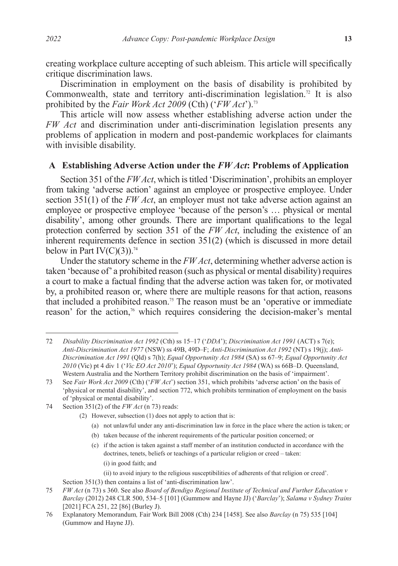creating workplace culture accepting of such ableism. This article will specifically critique discrimination laws.

Discrimination in employment on the basis of disability is prohibited by Commonwealth, state and territory anti-discrimination legislation.<sup>72</sup> It is also prohibited by the *Fair Work Act 2009* (Cth) ('*FW Act*').73

This article will now assess whether establishing adverse action under the *FW Act* and discrimination under anti-discrimination legislation presents any problems of application in modern and post-pandemic workplaces for claimants with invisible disability.

### **A Establishing Adverse Action under the** *FW Act***: Problems of Application**

Section 351 of the *FW Act*, which is titled 'Discrimination', prohibits an employer from taking 'adverse action' against an employee or prospective employee. Under section 351(1) of the *FW Act*, an employer must not take adverse action against an employee or prospective employee 'because of the person's … physical or mental disability', among other grounds. There are important qualifications to the legal protection conferred by section 351 of the *FW Act*, including the existence of an inherent requirements defence in section 351(2) (which is discussed in more detail below in Part IV(C)(3)).<sup>74</sup>

Under the statutory scheme in the *FW Act*, determining whether adverse action is taken 'because of' a prohibited reason (such as physical or mental disability) requires a court to make a factual finding that the adverse action was taken for, or motivated by, a prohibited reason or, where there are multiple reasons for that action, reasons that included a prohibited reason.<sup>75</sup> The reason must be an 'operative or immediate reason' for the action,<sup>76</sup> which requires considering the decision-maker's mental

- 74 Section 351(2) of the *FW Act* (n 73) reads:
	- (2) However, subsection (1) does not apply to action that is:
		- (a) not unlawful under any anti-discrimination law in force in the place where the action is taken; or
		- (b) taken because of the inherent requirements of the particular position concerned; or
		- (c) if the action is taken against a staff member of an institution conducted in accordance with the doctrines, tenets, beliefs or teachings of a particular religion or creed – taken: (i) in good faith; and
			- (ii) to avoid injury to the religious susceptibilities of adherents of that religion or creed'.

<sup>72</sup> *Disability Discrimination Act 1992* (Cth) ss 15–17 ('*DDA*'); *Discrimination Act 1991* (ACT) s 7(e); *Anti-Discrimination Act 1977* (NSW) ss 49B, 49D–F; *Anti-Discrimination Act 1992* (NT) s 19(j); *Anti-Discrimination Act 1991* (Qld) s 7(h); *Equal Opportunity Act 1984* (SA) ss 67–9; *Equal Opportunity Act 2010* (Vic) pt 4 div 1 ('*Vic EO Act 2010*'); *Equal Opportunity Act 1984* (WA) ss 66B–D. Queensland, Western Australia and the Northern Territory prohibit discrimination on the basis of 'impairment'.

<sup>73</sup> See *Fair Work Act 2009* (Cth) ('*FW Act*') section 351, which prohibits 'adverse action' on the basis of 'physical or mental disability', and section 772, which prohibits termination of employment on the basis of 'physical or mental disability'.

Section 351(3) then contains a list of 'anti-discrimination law'.

<sup>75</sup> *FW Act* (n 73) s 360. See also *Board of Bendigo Regional Institute of Technical and Further Education v Barclay* (2012) 248 CLR 500, 534–5 [101] (Gummow and Hayne JJ) ('*Barclay*'); *Salama v Sydney Trains* [2021] FCA 251, 22 [86] (Burley J).

<sup>76</sup> Explanatory Memorandum*,* Fair Work Bill 2008 (Cth) 234 [1458]. See also *Barclay* (n 75) 535 [104] (Gummow and Hayne JJ).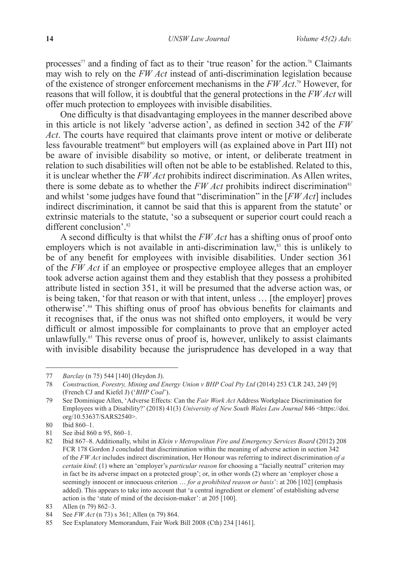processes<sup> $77$ </sup> and a finding of fact as to their 'true reason' for the action.<sup>78</sup> Claimants may wish to rely on the *FW Act* instead of anti-discrimination legislation because of the existence of stronger enforcement mechanisms in the *FW Act*. 79 However, for reasons that will follow, it is doubtful that the general protections in the *FW Act* will offer much protection to employees with invisible disabilities.

One difficulty is that disadvantaging employees in the manner described above in this article is not likely 'adverse action', as defined in section 342 of the *FW Act*. The courts have required that claimants prove intent or motive or deliberate less favourable treatment<sup>80</sup> but employers will (as explained above in Part III) not be aware of invisible disability so motive, or intent, or deliberate treatment in relation to such disabilities will often not be able to be established. Related to this, it is unclear whether the *FW Act* prohibits indirect discrimination. As Allen writes, there is some debate as to whether the  $FW, Act$  prohibits indirect discrimination<sup>81</sup> and whilst 'some judges have found that "discrimination" in the [*FW Act*] includes indirect discrimination, it cannot be said that this is apparent from the statute' or extrinsic materials to the statute, 'so a subsequent or superior court could reach a different conclusion'.<sup>82</sup>

A second difficulty is that whilst the *FW Act* has a shifting onus of proof onto employers which is not available in anti-discrimination law, $\mathbf{S}^3$  this is unlikely to be of any benefit for employees with invisible disabilities. Under section 361 of the *FW Act* if an employee or prospective employee alleges that an employer took adverse action against them and they establish that they possess a prohibited attribute listed in section 351, it will be presumed that the adverse action was, or is being taken, 'for that reason or with that intent, unless … [the employer] proves otherwise'.84 This shifting onus of proof has obvious benefits for claimants and it recognises that, if the onus was not shifted onto employers, it would be very difficult or almost impossible for complainants to prove that an employer acted unlawfully.<sup>85</sup> This reverse onus of proof is, however, unlikely to assist claimants with invisible disability because the jurisprudence has developed in a way that

<sup>77</sup> *Barclay* (n 75) 544 [140] (Heydon J).

<sup>78</sup> *Construction, Forestry, Mining and Energy Union v BHP Coal Pty Ltd* (2014) 253 CLR 243, 249 [9] (French CJ and Kiefel J) ('*BHP Coal*').

<sup>79</sup> See Dominique Allen, 'Adverse Effects: Can the *Fair Work Act* Address Workplace Discrimination for Employees with a Disability?' (2018) 41(3) *University of New South Wales Law Journal* 846 <https://doi. org/10.53637/SARS2540>.

<sup>80</sup> Ibid 860–1.

<sup>81</sup> See ibid 860 n 95, 860–1.

<sup>82</sup> Ibid 867–8. Additionally, whilst in *Klein v Metropolitan Fire and Emergency Services Board* (2012) 208 FCR 178 Gordon J concluded that discrimination within the meaning of adverse action in section 342 of the *FW Act* includes indirect discrimination, Her Honour was referring to indirect discrimination *of a certain kind*: (1) where an 'employer's *particular reason* for choosing a "facially neutral" criterion may in fact be its adverse impact on a protected group'; or, in other words (2) where an 'employer chose a seemingly innocent or innocuous criterion … *for a prohibited reason or basis*': at 206 [102] (emphasis added). This appears to take into account that 'a central ingredient or element' of establishing adverse action is the 'state of mind of the decision-maker': at 205 [100].

<sup>83</sup> Allen (n 79) 862–3.

<sup>84</sup> See *FW Act* (n 73) s 361; Allen (n 79) 864.

<sup>85</sup> See Explanatory Memorandum, Fair Work Bill 2008 (Cth) 234 [1461].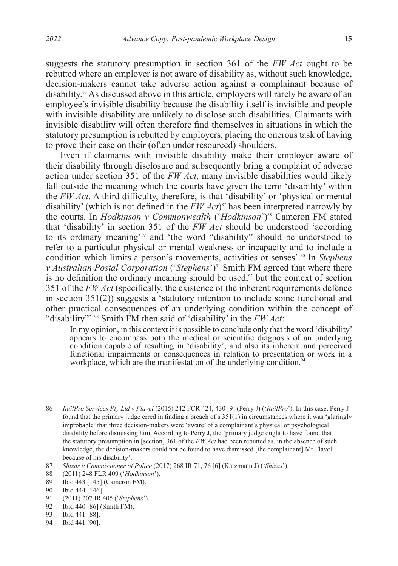suggests the statutory presumption in section 361 of the *FW Act* ought to be rebutted where an employer is not aware of disability as, without such knowledge, decision-makers cannot take adverse action against a complainant because of disability.<sup>86</sup> As discussed above in this article, employers will rarely be aware of an employee's invisible disability because the disability itself is invisible and people with invisible disability are unlikely to disclose such disabilities. Claimants with invisible disability will often therefore find themselves in situations in which the statutory presumption is rebutted by employers, placing the onerous task of having to prove their case on their (often under resourced) shoulders.

Even if claimants with invisible disability make their employer aware of their disability through disclosure and subsequently bring a complaint of adverse action under section 351 of the *FW Act*, many invisible disabilities would likely fall outside the meaning which the courts have given the term 'disability' within the *FW Act*. A third difficulty, therefore, is that 'disability' or 'physical or mental disability' (which is not defined in the *FW Act*) 87 has been interpreted narrowly by the courts. In *Hodkinson v Commonwealth* ('*Hodkinson*')88 Cameron FM stated that 'disability' in section 351 of the *FW Act* should be understood 'according to its ordinary meaning'89 and 'the word "disability" should be understood to refer to a particular physical or mental weakness or incapacity and to include a condition which limits a person's movements, activities or senses'.90 In *Stephens v Australian Postal Corporation* ('*Stephens*')<sup>91</sup> Smith FM agreed that where there is no definition the ordinary meaning should be used, $92$  but the context of section 351 of the *FW Act* (specifically, the existence of the inherent requirements defence in section  $351(2)$ ) suggests a 'statutory intention to include some functional and other practical consequences of an underlying condition within the concept of "disability"'.93 Smith FM then said of 'disability' in the *FW Act*:

In my opinion, in this context it is possible to conclude only that the word 'disability' appears to encompass both the medical or scientific diagnosis of an underlying condition capable of resulting in 'disability', and also its inherent and perceived functional impairments or consequences in relation to presentation or work in a workplace, which are the manifestation of the underlying condition.<sup>94</sup>

94 Ibid 441 [90].

<sup>86</sup> *RailPro Services Pty Ltd v Flavel* (2015) 242 FCR 424, 430 [9] (Perry J) ('*RailPro*'). In this case, Perry J found that the primary judge erred in finding a breach of s 351(1) in circumstances where it was 'glaringly improbable' that three decision-makers were 'aware' of a complainant's physical or psychological disability before dismissing him. According to Perry J, the 'primary judge ought to have found that the statutory presumption in [section] 361 of the *FW Act* had been rebutted as, in the absence of such knowledge, the decision-makers could not be found to have dismissed [the complainant] Mr Flavel because of his disability'.

<sup>87</sup> *Shizas v Commissioner of Police* (2017) 268 IR 71, 76 [6] (Katzmann J) ('*Shizas*').

<sup>88</sup> (2011) 248 FLR 409 ('*Hodkinson*').

<sup>89</sup> Ibid 443 [145] (Cameron FM).

<sup>90</sup> Ibid 444 [146].<br>91 (2011) 207 IR

<sup>91</sup> (2011) 207 IR 405 ('*Stephens*').

<sup>92</sup> Ibid 440 [86] (Smith FM).

<sup>93</sup> Ibid 441 [88].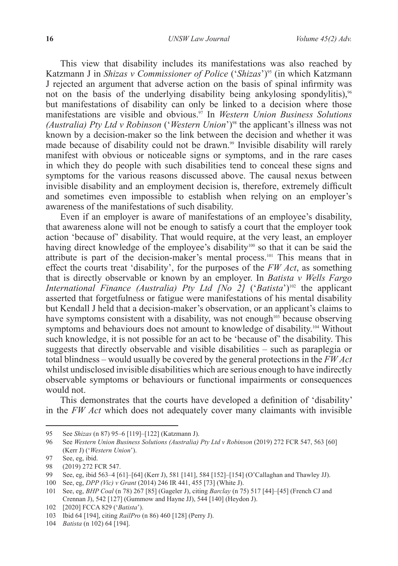This view that disability includes its manifestations was also reached by Katzmann J in *Shizas v Commissioner of Police* ('*Shizas*')95 (in which Katzmann J rejected an argument that adverse action on the basis of spinal infirmity was not on the basis of the underlying disability being ankylosing spondylitis),<sup>96</sup> but manifestations of disability can only be linked to a decision where those manifestations are visible and obvious.<sup>97</sup> In *Western Union Business Solutions (Australia) Pty Ltd v Robinson* ('*Western Union*')98 the applicant's illness was not known by a decision-maker so the link between the decision and whether it was made because of disability could not be drawn.<sup>99</sup> Invisible disability will rarely manifest with obvious or noticeable signs or symptoms, and in the rare cases in which they do people with such disabilities tend to conceal these signs and symptoms for the various reasons discussed above. The causal nexus between invisible disability and an employment decision is, therefore, extremely difficult and sometimes even impossible to establish when relying on an employer's awareness of the manifestations of such disability.

Even if an employer is aware of manifestations of an employee's disability, that awareness alone will not be enough to satisfy a court that the employer took action 'because of' disability. That would require, at the very least, an employer having direct knowledge of the employee's disability<sup>100</sup> so that it can be said the attribute is part of the decision-maker's mental process.101 This means that in effect the courts treat 'disability', for the purposes of the *FW Act*, as something that is directly observable or known by an employer. In *Batista v Wells Fargo International Finance (Australia) Pty Ltd [No 2] ('Batista')*<sup>102</sup> the applicant asserted that forgetfulness or fatigue were manifestations of his mental disability but Kendall J held that a decision-maker's observation, or an applicant's claims to have symptoms consistent with a disability, was not enough<sup> $103$ </sup> because observing symptoms and behaviours does not amount to knowledge of disability.<sup>104</sup> Without such knowledge, it is not possible for an act to be 'because of' the disability. This suggests that directly observable and visible disabilities – such as paraplegia or total blindness – would usually be covered by the general protections in the *FW Act* whilst undisclosed invisible disabilities which are serious enough to have indirectly observable symptoms or behaviours or functional impairments or consequences would not.

This demonstrates that the courts have developed a definition of 'disability' in the *FW Act* which does not adequately cover many claimants with invisible

<sup>95</sup> See *Shizas* (n 87) 95–6 [119]–[122] (Katzmann J).

<sup>96</sup> See *Western Union Business Solutions (Australia) Pty Ltd v Robinson* (2019) 272 FCR 547, 563 [60] (Kerr J) ('*Western Union*').

<sup>97</sup> See, eg, ibid.

<sup>98 (2019) 272</sup> FCR 547.<br>99 See eg ibid 563–4 [6

<sup>99</sup> See, eg, ibid 563–4 [61]–[64] (Kerr J), 581 [141], 584 [152]–[154] (O'Callaghan and Thawley JJ).

<sup>100</sup> See, eg, *DPP (Vic) v Grant* (2014) 246 IR 441, 455 [73] (White J).

<sup>101</sup> See, eg, *BHP Coal* (n 78) 267 [85] (Gageler J), citing *Barclay* (n 75) 517 [44]–[45] (French CJ and Crennan J), 542 [127] (Gummow and Hayne JJ), 544 [140] (Heydon J).

<sup>102</sup> [2020] FCCA 829 ('*Batista*').

<sup>103</sup> Ibid 64 [194], citing *RailPro* (n 86) 460 [128] (Perry J).

<sup>104</sup> *Batista* (n 102) 64 [194].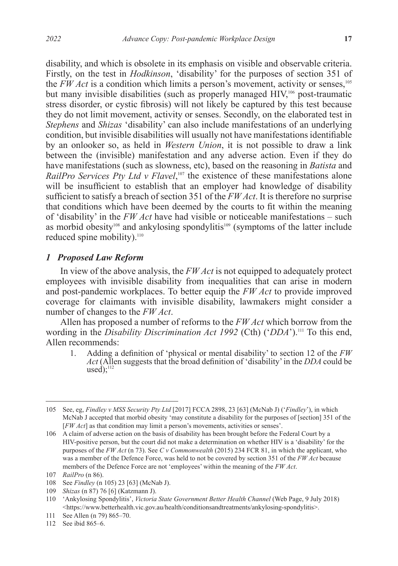disability, and which is obsolete in its emphasis on visible and observable criteria. Firstly, on the test in *Hodkinson*, 'disability' for the purposes of section 351 of the  $FWAct$  is a condition which limits a person's movement, activity or senses,<sup>105</sup> but many invisible disabilities (such as properly managed HIV,<sup>106</sup> post-traumatic stress disorder, or cystic fibrosis) will not likely be captured by this test because they do not limit movement, activity or senses. Secondly, on the elaborated test in *Stephens* and *Shizas* 'disability' can also include manifestations of an underlying condition, but invisible disabilities will usually not have manifestations identifiable by an onlooker so, as held in *Western Union*, it is not possible to draw a link between the (invisible) manifestation and any adverse action. Even if they do have manifestations (such as slowness, etc), based on the reasoning in *Batista* and *RailPro Services Pty Ltd v Flavel*,<sup>107</sup> the existence of these manifestations alone will be insufficient to establish that an employer had knowledge of disability sufficient to satisfy a breach of section 351 of the *FW Act*. It is therefore no surprise that conditions which have been deemed by the courts to fit within the meaning of 'disability' in the *FW Act* have had visible or noticeable manifestations – such as morbid obesity<sup>108</sup> and ankylosing spondylitis<sup>109</sup> (symptoms of the latter include reduced spine mobility).<sup>110</sup>

#### *1**Proposed Law Reform*

In view of the above analysis, the *FW Act* is not equipped to adequately protect employees with invisible disability from inequalities that can arise in modern and post-pandemic workplaces. To better equip the *FW Act* to provide improved coverage for claimants with invisible disability, lawmakers might consider a number of changes to the *FW Act*.

Allen has proposed a number of reforms to the *FW Act* which borrow from the wording in the *Disability Discrimination Act 1992* (Cth) ('*DDA*').111 To this end, Allen recommends:

1. Adding a definition of 'physical or mental disability' to section 12 of the *FW Act* (Allen suggests that the broad definition of 'disability' in the *DDA* could be  $used)$ ;<sup>112</sup>

112 See ibid 865–6.

<sup>105</sup> See, eg, *Findley v MSS Security Pty Ltd* [2017] FCCA 2898, 23 [63] (McNab J) ('*Findley*'), in which McNab J accepted that morbid obesity 'may constitute a disability for the purposes of [section] 351 of the [*FW Act*] as that condition may limit a person's movements, activities or senses'.

<sup>106</sup> A claim of adverse action on the basis of disability has been brought before the Federal Court by a HIV-positive person, but the court did not make a determination on whether HIV is a 'disability' for the purposes of the *FW Act* (n 73). See *C v Commonwealth* (2015) 234 FCR 81, in which the applicant, who was a member of the Defence Force, was held to not be covered by section 351 of the *FW Act* because members of the Defence Force are not 'employees' within the meaning of the *FW Act*.

<sup>107</sup> *RailPro* (n 86).

<sup>108</sup> See *Findley* (n 105) 23 [63] (McNab J).

<sup>109</sup> *Shizas* (n 87) 76 [6] (Katzmann J).

<sup>110</sup> 'Ankylosing Spondylitis', *Victoria State Government Better Health Channel* (Web Page, 9 July 2018) <https://www.betterhealth.vic.gov.au/health/conditionsandtreatments/ankylosing-spondylitis>.

<sup>111</sup> See Allen (n 79) 865–70.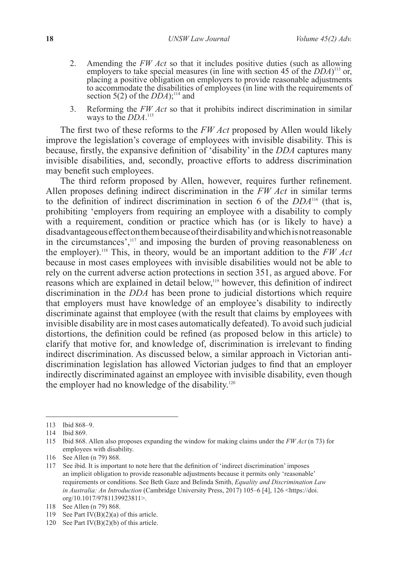- 2. Amending the *FW Act* so that it includes positive duties (such as allowing employers to take special measures (in line with section 45 of the *DDA*) 113 or, placing a positive obligation on employers to provide reasonable adjustments to accommodate the disabilities of employees (in line with the requirements of section 5(2) of the *DDA*);<sup>114</sup> and
- 3. Reforming the *FW Act* so that it prohibits indirect discrimination in similar ways to the *DDA*. 115

The first two of these reforms to the *FW Act* proposed by Allen would likely improve the legislation's coverage of employees with invisible disability. This is because, firstly, the expansive definition of 'disability' in the *DDA* captures many invisible disabilities, and, secondly, proactive efforts to address discrimination may benefit such employees.

The third reform proposed by Allen, however, requires further refinement. Allen proposes defining indirect discrimination in the *FW Act* in similar terms to the definition of indirect discrimination in section 6 of the *DDA*116 (that is, prohibiting 'employers from requiring an employee with a disability to comply with a requirement, condition or practice which has (or is likely to have) a disadvantageous effect on them because of their disability and which is not reasonable in the circumstances',<sup>117</sup> and imposing the burden of proving reasonableness on the employer).118 This, in theory, would be an important addition to the *FW Act*  because in most cases employees with invisible disabilities would not be able to rely on the current adverse action protections in section 351, as argued above. For reasons which are explained in detail below,119 however, this definition of indirect discrimination in the *DDA* has been prone to judicial distortions which require that employers must have knowledge of an employee's disability to indirectly discriminate against that employee (with the result that claims by employees with invisible disability are in most cases automatically defeated). To avoid such judicial distortions, the definition could be refined (as proposed below in this article) to clarify that motive for, and knowledge of, discrimination is irrelevant to finding indirect discrimination. As discussed below, a similar approach in Victorian antidiscrimination legislation has allowed Victorian judges to find that an employer indirectly discriminated against an employee with invisible disability, even though the employer had no knowledge of the disability.<sup>120</sup>

<sup>113</sup> Ibid 868–9.

<sup>114</sup> Ibid 869.

<sup>115</sup> Ibid 868. Allen also proposes expanding the window for making claims under the *FW Act* (n 73) for employees with disability.

<sup>116</sup> See Allen (n 79) 868.

<sup>117</sup> See ibid. It is important to note here that the definition of 'indirect discrimination' imposes an implicit obligation to provide reasonable adjustments because it permits only 'reasonable' requirements or conditions. See Beth Gaze and Belinda Smith, *Equality and Discrimination Law in Australia: An Introduction* (Cambridge University Press, 2017) 105–6 [4], 126 <https://doi. org/10.1017/9781139923811>.

<sup>118</sup> See Allen (n 79) 868.

<sup>119</sup> See Part IV(B)(2)(a) of this article.

<sup>120</sup> See Part IV(B)(2)(b) of this article.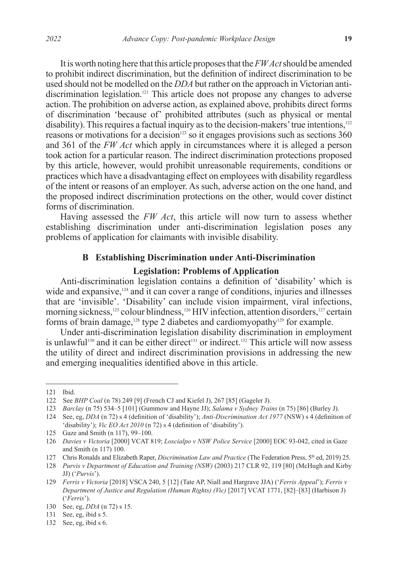It is worth noting here that this article proposes that the *FW Act* should be amended to prohibit indirect discrimination, but the definition of indirect discrimination to be used should not be modelled on the *DDA* but rather on the approach in Victorian antidiscrimination legislation.<sup>121</sup> This article does not propose any changes to adverse action. The prohibition on adverse action, as explained above, prohibits direct forms of discrimination 'because of' prohibited attributes (such as physical or mental disability). This requires a factual inquiry as to the decision-makers' true intentions,<sup>122</sup> reasons or motivations for a decision<sup>123</sup> so it engages provisions such as sections 360 and 361 of the *FW Act* which apply in circumstances where it is alleged a person took action for a particular reason. The indirect discrimination protections proposed by this article, however, would prohibit unreasonable requirements, conditions or practices which have a disadvantaging effect on employees with disability regardless of the intent or reasons of an employer. As such, adverse action on the one hand, and the proposed indirect discrimination protections on the other, would cover distinct forms of discrimination.

Having assessed the *FW Act*, this article will now turn to assess whether establishing discrimination under anti-discrimination legislation poses any problems of application for claimants with invisible disability.

# **B Establishing Discrimination under Anti-Discrimination**

#### **Legislation: Problems of Application**

Anti-discrimination legislation contains a definition of 'disability' which is wide and expansive,<sup>124</sup> and it can cover a range of conditions, injuries and illnesses that are 'invisible'. 'Disability' can include vision impairment, viral infections, morning sickness,<sup>125</sup> colour blindness,<sup>126</sup> HIV infection, attention disorders,<sup>127</sup> certain forms of brain damage,<sup>128</sup> type 2 diabetes and cardiomyopathy<sup>129</sup> for example.

Under anti-discrimination legislation disability discrimination in employment is unlawful<sup>130</sup> and it can be either direct<sup>131</sup> or indirect.<sup>132</sup> This article will now assess the utility of direct and indirect discrimination provisions in addressing the new and emerging inequalities identified above in this article.

<sup>121</sup> Ibid.

<sup>122</sup> See *BHP Coal* (n 78) 249 [9] (French CJ and Kiefel J), 267 [85] (Gageler J).

<sup>123</sup> *Barclay* (n 75) 534–5 [101] (Gummow and Hayne JJ); *Salama v Sydney Trains* (n 75) [86] (Burley J).

<sup>124</sup> See, eg, *DDA* (n 72) s 4 (definition of 'disability'); *Anti-Discrimination Act 1977* (NSW) s 4 (definition of 'disability'); *Vic EO Act 2010* (n 72) s 4 (definition of 'disability').

<sup>125</sup> Gaze and Smith (n 117), 99–100.

<sup>126</sup> *Davies v Victoria* [2000] VCAT 819; *Loscialpo v NSW Police Service* [2000] EOC 93-042, cited in Gaze and Smith (n 117) 100.

<sup>127</sup> Chris Ronalds and Elizabeth Raper, *Discrimination Law and Practice* (The Federation Press, 5<sup>th</sup> ed, 2019) 25.

<sup>128</sup> *Purvis v Department of Education and Training (NSW)* (2003) 217 CLR 92, 119 [80] (McHugh and Kirby JJ) ('*Purvis*').

<sup>129</sup> *Ferris v Victoria* [2018] VSCA 240, 5 [12] (Tate AP, Niall and Hargrave JJA) ('*Ferris Appeal*'); *Ferris v Department of Justice and Regulation (Human Rights) (Vic)* [2017] VCAT 1771, [82]–[83] (Harbison J) ('*Ferris*').

<sup>130</sup> See, eg, *DDA* (n 72) s 15.

<sup>131</sup> See, eg, ibid s 5.

<sup>132</sup> See, eg, ibid s 6.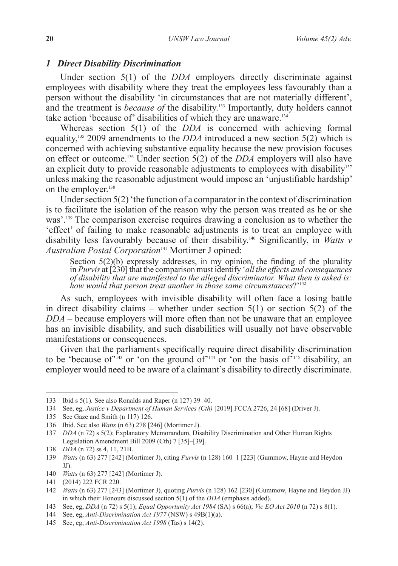#### *1 Direct Disability Discrimination*

Under section 5(1) of the *DDA* employers directly discriminate against employees with disability where they treat the employees less favourably than a person without the disability 'in circumstances that are not materially different', and the treatment is *because of* the disability.<sup>133</sup> Importantly, duty holders cannot take action 'because of' disabilities of which they are unaware.134

Whereas section 5(1) of the *DDA* is concerned with achieving formal equality,135 2009 amendments to the *DDA* introduced a new section 5(2) which is concerned with achieving substantive equality because the new provision focuses on effect or outcome.<sup>136</sup> Under section  $\frac{5(2)}{2}$  of the *DDA* employers will also have an explicit duty to provide reasonable adjustments to employees with disability $137$ unless making the reasonable adjustment would impose an 'unjustifiable hardship' on the employer.<sup>138</sup>

Under section 5(2) 'the function of a comparator in the context of discrimination is to facilitate the isolation of the reason why the person was treated as he or she was'.139 The comparison exercise requires drawing a conclusion as to whether the 'effect' of failing to make reasonable adjustments is to treat an employee with disability less favourably because of their disability.140 Significantly, in *Watts v Australian Postal Corporation*<sup>141</sup> Mortimer J opined:

Section  $5(2)(b)$  expressly addresses, in my opinion, the finding of the plurality in *Purvis* at [230] that the comparison must identify '*all the effects and consequences of disability that are manifested to the alleged discriminator. What then is asked is: how would that person treat another in those same circumstances*?'142

As such, employees with invisible disability will often face a losing battle in direct disability claims – whether under section  $5(1)$  or section  $5(2)$  of the *DDA* – because employers will more often than not be unaware that an employee has an invisible disability, and such disabilities will usually not have observable manifestations or consequences.

Given that the parliaments specifically require direct disability discrimination to be 'because of'<sup>143</sup> or 'on the ground of'<sup>144</sup> or 'on the basis of  $\frac{1}{145}$  disability, an employer would need to be aware of a claimant's disability to directly discriminate.

<sup>133</sup> Ibid s 5(1). See also Ronalds and Raper (n 127) 39–40.

<sup>134</sup> See, eg, *Justice v Department of Human Services (Cth)* [2019] FCCA 2726, 24 [68] (Driver J).

<sup>135</sup> See Gaze and Smith (n 117) 126.

<sup>136</sup> Ibid. See also *Watts* (n 63) 278 [246] (Mortimer J).

<sup>137</sup> *DDA* (n 72) s 5(2); Explanatory Memorandum, Disability Discrimination and Other Human Rights Legislation Amendment Bill 2009 (Cth) 7 [35]–[39].

<sup>138</sup> *DDA* (n 72) ss 4, 11, 21B.

<sup>139</sup> *Watts* (n 63) 277 [242] (Mortimer J), citing *Purvis* (n 128) 160–1 [223] (Gummow, Hayne and Heydon  $JJ$ ).

<sup>140</sup> *Watts* (n 63) 277 [242] (Mortimer J).

<sup>141</sup> (2014) 222 FCR 220.

<sup>142</sup> *Watts* (n 63) 277 [243] (Mortimer J), quoting *Purvis* (n 128) 162 [230] (Gummow, Hayne and Heydon JJ) in which their Honours discussed section 5(1) of the *DDA* (emphasis added).

<sup>143</sup> See, eg, *DDA* (n 72) s 5(1); *Equal Opportunity Act 1984* (SA) s 66(a); *Vic EO Act 2010* (n 72) s 8(1).

<sup>144</sup> See, eg, *Anti-Discrimination Act 1977* (NSW) s 49B(1)(a).

<sup>145</sup> See, eg, *Anti-Discrimination Act 1998* (Tas) s 14(2).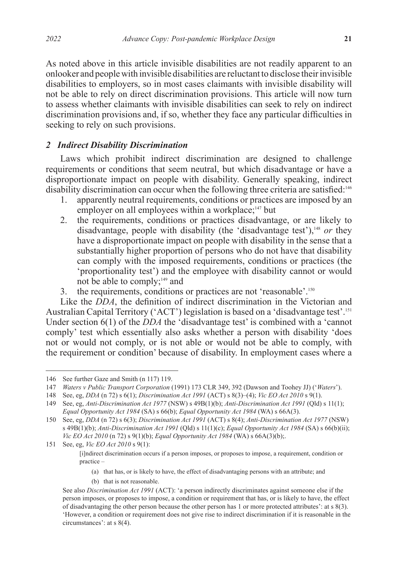As noted above in this article invisible disabilities are not readily apparent to an onlooker and people with invisible disabilities are reluctant to disclose their invisible disabilities to employers, so in most cases claimants with invisible disability will not be able to rely on direct discrimination provisions. This article will now turn to assess whether claimants with invisible disabilities can seek to rely on indirect discrimination provisions and, if so, whether they face any particular difficulties in seeking to rely on such provisions.

### *2 Indirect Disability Discrimination*

Laws which prohibit indirect discrimination are designed to challenge requirements or conditions that seem neutral, but which disadvantage or have a disproportionate impact on people with disability. Generally speaking, indirect disability discrimination can occur when the following three criteria are satisfied:<sup>146</sup>

- 1. apparently neutral requirements, conditions or practices are imposed by an employer on all employees within a workplace;<sup>147</sup> but
- 2. the requirements, conditions or practices disadvantage, or are likely to disadvantage, people with disability (the 'disadvantage test'),<sup>148</sup> or they have a disproportionate impact on people with disability in the sense that a substantially higher proportion of persons who do not have that disability can comply with the imposed requirements, conditions or practices (the 'proportionality test') and the employee with disability cannot or would not be able to comply;<sup>149</sup> and
- 3. the requirements, conditions or practices are not 'reasonable'.150

Like the *DDA*, the definition of indirect discrimination in the Victorian and Australian Capital Territory ('ACT') legislation is based on a 'disadvantage test'.<sup>151</sup> Under section 6(1) of the *DDA* the 'disadvantage test' is combined with a 'cannot comply' test which essentially also asks whether a person with disability 'does not or would not comply, or is not able or would not be able to comply, with the requirement or condition' because of disability. In employment cases where a

(b) that is not reasonable.

<sup>146</sup> See further Gaze and Smith (n 117) 119.

<sup>147</sup> *Waters v Public Transport Corporation* (1991) 173 CLR 349, 392 (Dawson and Toohey JJ) ('*Waters*').

<sup>148</sup> See, eg, *DDA* (n 72) s 6(1); *Discrimination Act 1991* (ACT) s 8(3)–(4); *Vic EO Act 2010* s 9(1).

<sup>149</sup> See, eg, *Anti-Discrimination Act 1977* (NSW) s 49B(1)(b); *Anti-Discrimination Act 1991* (Qld) s 11(1); *Equal Opportunity Act 1984* (SA) s 66(b); *Equal Opportunity Act 1984* (WA) s 66A(3).

<sup>150</sup> See, eg, *DDA* (n 72) s 6(3); *Discrimination Act 1991* (ACT) s 8(4); *Anti-Discrimination Act 1977* (NSW) s 49B(1)(b); *Anti-Discrimination Act 1991* (Qld) s 11(1)(c); *Equal Opportunity Act 1984* (SA) s 66(b)(ii); *Vic EO Act 2010* (n 72) s 9(1)(b); *Equal Opportunity Act 1984* (WA) s 66A(3)(b);.

<sup>151</sup> See, eg, *Vic EO Act 2010* s 9(1):

<sup>[</sup>i]ndirect discrimination occurs if a person imposes, or proposes to impose, a requirement, condition or practice –

<sup>(</sup>a) that has, or is likely to have, the effect of disadvantaging persons with an attribute; and

See also *Discrimination Act 1991* (ACT): 'a person indirectly discriminates against someone else if the person imposes, or proposes to impose, a condition or requirement that has, or is likely to have, the effect of disadvantaging the other person because the other person has 1 or more protected attributes': at s 8(3). 'However, a condition or requirement does not give rise to indirect discrimination if it is reasonable in the circumstances': at s 8(4).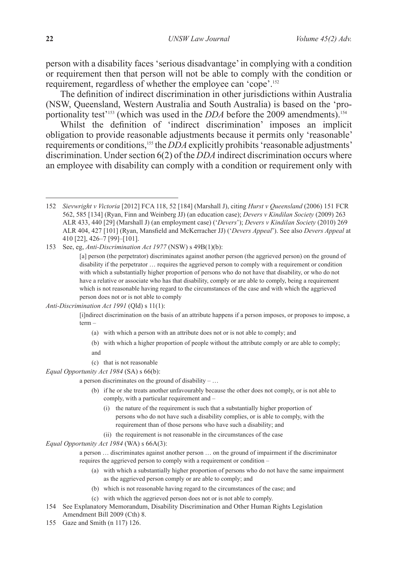person with a disability faces 'serious disadvantage' in complying with a condition or requirement then that person will not be able to comply with the condition or requirement, regardless of whether the employee can 'cope'.152

The definition of indirect discrimination in other jurisdictions within Australia (NSW, Queensland, Western Australia and South Australia) is based on the 'proportionality test<sup>'153</sup> (which was used in the *DDA* before the 2009 amendments).<sup>154</sup>

Whilst the definition of 'indirect discrimination' imposes an implicit obligation to provide reasonable adjustments because it permits only 'reasonable' requirements or conditions,155 the *DDA* explicitly prohibits 'reasonable adjustments' discrimination. Under section 6(2) of the *DDA* indirect discrimination occurs where an employee with disability can comply with a condition or requirement only with

153 See, eg, *Anti-Discrimination Act 1977* (NSW) s 49B(1)(b):

*Anti-Discrimination Act 1991* (Qld) s 11(1):

[i]ndirect discrimination on the basis of an attribute happens if a person imposes, or proposes to impose, a term –

- (a) with which a person with an attribute does not or is not able to comply; and
- (b) with which a higher proportion of people without the attribute comply or are able to comply;
- and
- (c) that is not reasonable

*Equal Opportunity Act 1984* (SA) s 66(b):

a person discriminates on the ground of disability – …

- (b) if he or she treats another unfavourably because the other does not comply, or is not able to comply, with a particular requirement and –
	- (i) the nature of the requirement is such that a substantially higher proportion of persons who do not have such a disability complies, or is able to comply, with the requirement than of those persons who have such a disability; and
	- (ii) the requirement is not reasonable in the circumstances of the case

*Equal Opportunity Act 1984* (WA) s 66A(3):

a person … discriminates against another person … on the ground of impairment if the discriminator requires the aggrieved person to comply with a requirement or condition –

- (a) with which a substantially higher proportion of persons who do not have the same impairment as the aggrieved person comply or are able to comply; and
- (b) which is not reasonable having regard to the circumstances of the case; and
- (c) with which the aggrieved person does not or is not able to comply.
- 154 See Explanatory Memorandum, Disability Discrimination and Other Human Rights Legislation Amendment Bill 2009 (Cth) 8.
- 155 Gaze and Smith (n 117) 126.

<sup>152</sup> *Sievwright v Victoria* [2012] FCA 118, 52 [184] (Marshall J), citing *Hurst v Queensland* (2006) 151 FCR 562, 585 [134] (Ryan, Finn and Weinberg JJ) (an education case); *Devers v Kindilan Society* (2009) 263 ALR 433, 440 [29] (Marshall J) (an employment case) ('*Devers*'); *Devers v Kindilan Society* (2010) 269 ALR 404, 427 [101] (Ryan, Mansfield and McKerracher JJ) ('*Devers Appeal*'). See also *Devers Appeal* at 410 [22], 426–7 [99]–[101].

<sup>[</sup>a] person (the perpetrator) discriminates against another person (the aggrieved person) on the ground of disability if the perpetrator … requires the aggrieved person to comply with a requirement or condition with which a substantially higher proportion of persons who do not have that disability, or who do not have a relative or associate who has that disability, comply or are able to comply, being a requirement which is not reasonable having regard to the circumstances of the case and with which the aggrieved person does not or is not able to comply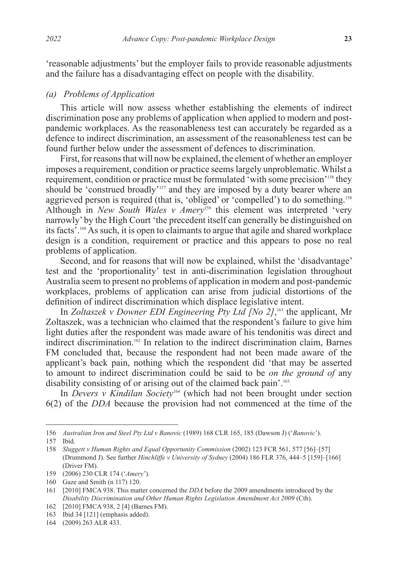'reasonable adjustments' but the employer fails to provide reasonable adjustments and the failure has a disadvantaging effect on people with the disability.

### *(a) Problems of Application*

This article will now assess whether establishing the elements of indirect discrimination pose any problems of application when applied to modern and postpandemic workplaces. As the reasonableness test can accurately be regarded as a defence to indirect discrimination, an assessment of the reasonableness test can be found further below under the assessment of defences to discrimination.

First, for reasons that will now be explained, the element of whether an employer imposes a requirement, condition or practice seems largely unproblematic. Whilst a requirement, condition or practice must be formulated 'with some precision'156 they should be 'construed broadly'<sup>157</sup> and they are imposed by a duty bearer where an aggrieved person is required (that is, 'obliged' or 'compelled') to do something.<sup>158</sup> Although in *New South Wales v Amery*<sup>159</sup> this element was interpreted 'very narrowly' by the High Court 'the precedent itself can generally be distinguished on its facts'.160 As such, it is open to claimants to argue that agile and shared workplace design is a condition, requirement or practice and this appears to pose no real problems of application.

Second, and for reasons that will now be explained, whilst the 'disadvantage' test and the 'proportionality' test in anti-discrimination legislation throughout Australia seem to present no problems of application in modern and post-pandemic workplaces, problems of application can arise from judicial distortions of the definition of indirect discrimination which displace legislative intent.

In *Zoltaszek v Downer EDI Engineering Pty Ltd [No 2]*, 161 the applicant, Mr Zoltaszek, was a technician who claimed that the respondent's failure to give him light duties after the respondent was made aware of his tendonitis was direct and indirect discrimination.162 In relation to the indirect discrimination claim, Barnes FM concluded that, because the respondent had not been made aware of the applicant's back pain, nothing which the respondent did 'that may be asserted to amount to indirect discrimination could be said to be *on the ground of* any disability consisting of or arising out of the claimed back pain'.<sup>163</sup>

In *Devers v Kindilan Society*164 (which had not been brought under section 6(2) of the *DDA* because the provision had not commenced at the time of the

164 (2009) 263 ALR 433.

<sup>156</sup> *Australian Iron and Steel Pty Ltd v Banovic* (1989) 168 CLR 165, 185 (Dawson J) ('*Banovic*').

<sup>157</sup> Ibid.

<sup>158</sup> *Sluggett v Human Rights and Equal Opportunity Commission* (2002) 123 FCR 561, 577 [56]–[57] (Drummond J). See further *Hinchliffe v University of Sydney* (2004) 186 FLR 376, 444–5 [159]–[166] (Driver FM).

<sup>159</sup> (2006) 230 CLR 174 ('*Amery*').

<sup>160</sup> Gaze and Smith (n 117) 120.

<sup>161</sup> [2010] FMCA 938. This matter concerned the *DDA* before the 2009 amendments introduced by the *Disability Discrimination and Other Human Rights Legislation Amendment Act 2009* (Cth).

<sup>162</sup> [2010] FMCA 938, 2 [4] (Barnes FM).

<sup>163</sup> Ibid 34 [121] (emphasis added).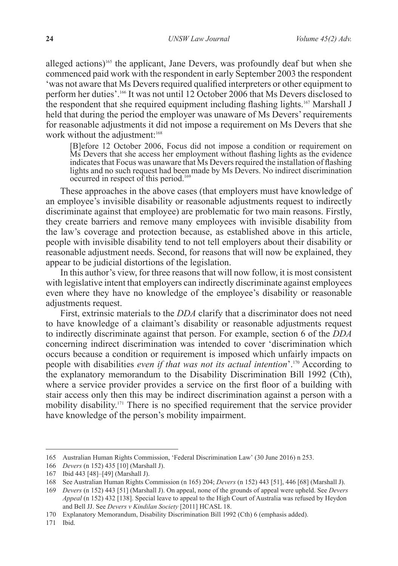alleged actions)<sup>165</sup> the applicant, Jane Devers, was profoundly deaf but when she commenced paid work with the respondent in early September 2003 the respondent 'was not aware that Ms Devers required qualified interpreters or other equipment to perform her duties'.166 It was not until 12 October 2006 that Ms Devers disclosed to the respondent that she required equipment including flashing lights.167 Marshall J held that during the period the employer was unaware of Ms Devers' requirements for reasonable adjustments it did not impose a requirement on Ms Devers that she work without the adjustment:<sup>168</sup>

[B]efore 12 October 2006, Focus did not impose a condition or requirement on Ms Devers that she access her employment without flashing lights as the evidence indicates that Focus was unaware that Ms Devers required the installation of flashing lights and no such request had been made by Ms Devers. No indirect discrimination occurred in respect of this period.<sup>169</sup>

These approaches in the above cases (that employers must have knowledge of an employee's invisible disability or reasonable adjustments request to indirectly discriminate against that employee) are problematic for two main reasons. Firstly, they create barriers and remove many employees with invisible disability from the law's coverage and protection because, as established above in this article, people with invisible disability tend to not tell employers about their disability or reasonable adjustment needs. Second, for reasons that will now be explained, they appear to be judicial distortions of the legislation.

In this author's view, for three reasons that will now follow, it is most consistent with legislative intent that employers can indirectly discriminate against employees even where they have no knowledge of the employee's disability or reasonable adjustments request.

First, extrinsic materials to the *DDA* clarify that a discriminator does not need to have knowledge of a claimant's disability or reasonable adjustments request to indirectly discriminate against that person. For example, section 6 of the *DDA* concerning indirect discrimination was intended to cover 'discrimination which occurs because a condition or requirement is imposed which unfairly impacts on people with disabilities *even if that was not its actual intention*'.170 According to the explanatory memorandum to the Disability Discrimination Bill 1992 (Cth), where a service provider provides a service on the first floor of a building with stair access only then this may be indirect discrimination against a person with a mobility disability.171 There is no specified requirement that the service provider have knowledge of the person's mobility impairment.

<sup>165</sup> Australian Human Rights Commission, 'Federal Discrimination Law' (30 June 2016) n 253.

<sup>166</sup> *Devers* (n 152) 435 [10] (Marshall J).

<sup>167</sup> Ibid 443 [48]–[49] (Marshall J).

<sup>168</sup> See Australian Human Rights Commission (n 165) 204; *Devers* (n 152) 443 [51], 446 [68] (Marshall J).

<sup>169</sup> *Devers* (n 152) 443 [51] (Marshall J). On appeal, none of the grounds of appeal were upheld. See *Devers Appeal* (n 152) 432 [138]. Special leave to appeal to the High Court of Australia was refused by Heydon and Bell JJ. See *Devers v Kindilan Society* [2011] HCASL 18.

<sup>170</sup> Explanatory Memorandum, Disability Discrimination Bill 1992 (Cth) 6 (emphasis added).

<sup>171</sup> Ibid.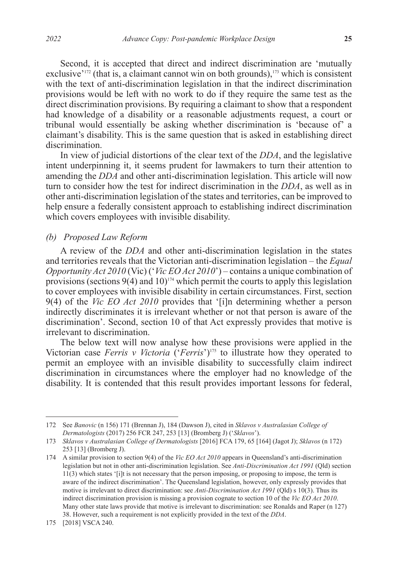Second, it is accepted that direct and indirect discrimination are 'mutually exclusive<sup> $172$ </sup> (that is, a claimant cannot win on both grounds), $173$  which is consistent with the text of anti-discrimination legislation in that the indirect discrimination provisions would be left with no work to do if they require the same test as the direct discrimination provisions. By requiring a claimant to show that a respondent had knowledge of a disability or a reasonable adjustments request, a court or tribunal would essentially be asking whether discrimination is 'because of' a claimant's disability. This is the same question that is asked in establishing direct discrimination.

In view of judicial distortions of the clear text of the *DDA*, and the legislative intent underpinning it, it seems prudent for lawmakers to turn their attention to amending the *DDA* and other anti-discrimination legislation. This article will now turn to consider how the test for indirect discrimination in the *DDA*, as well as in other anti-discrimination legislation of the states and territories, can be improved to help ensure a federally consistent approach to establishing indirect discrimination which covers employees with invisible disability.

# *(b) Proposed Law Reform*

A review of the *DDA* and other anti-discrimination legislation in the states and territories reveals that the Victorian anti-discrimination legislation – the *Equal Opportunity Act 2010* (Vic) ('*Vic EO Act 2010*') – contains a unique combination of provisions (sections  $9(4)$  and  $10$ )<sup>174</sup> which permit the courts to apply this legislation to cover employees with invisible disability in certain circumstances. First, section 9(4) of the *Vic EO Act 2010* provides that '[i]n determining whether a person indirectly discriminates it is irrelevant whether or not that person is aware of the discrimination'. Second, section 10 of that Act expressly provides that motive is irrelevant to discrimination.

The below text will now analyse how these provisions were applied in the Victorian case *Ferris v Victoria* ('*Ferris*')175 to illustrate how they operated to permit an employee with an invisible disability to successfully claim indirect discrimination in circumstances where the employer had no knowledge of the disability. It is contended that this result provides important lessons for federal,

<sup>172</sup> See *Banovic* (n 156) 171 (Brennan J), 184 (Dawson J), cited in *Sklavos v Australasian College of Dermatologists* (2017) 256 FCR 247, 253 [13] (Bromberg J) ('*Sklavos*').

<sup>173</sup> *Sklavos v Australasian College of Dermatologists* [2016] FCA 179, 65 [164] (Jagot J); *Sklavos* (n 172) 253 [13] (Bromberg J).

<sup>174</sup> A similar provision to section 9(4) of the *Vic EO Act 2010* appears in Queensland's anti-discrimination legislation but not in other anti-discrimination legislation. See *Anti-Discrimination Act 1991* (Qld) section 11(3) which states '[i]t is not necessary that the person imposing, or proposing to impose, the term is aware of the indirect discrimination'. The Queensland legislation, however, only expressly provides that motive is irrelevant to direct discrimination: see *Anti-Discrimination Act 1991* (Qld) s 10(3). Thus its indirect discrimination provision is missing a provision cognate to section 10 of the *Vic EO Act 2010*. Many other state laws provide that motive is irrelevant to discrimination: see Ronalds and Raper (n 127) 38. However, such a requirement is not explicitly provided in the text of the *DDA*.

<sup>175</sup> [2018] VSCA 240.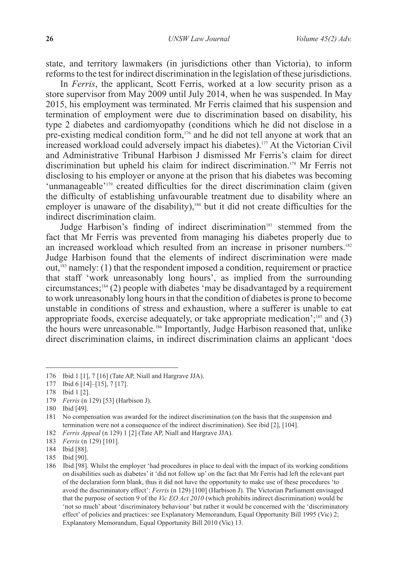state, and territory lawmakers (in jurisdictions other than Victoria), to inform reforms to the test for indirect discrimination in the legislation of these jurisdictions.

In *Ferris*, the applicant, Scott Ferris, worked at a low security prison as a store supervisor from May 2009 until July 2014, when he was suspended. In May 2015, his employment was terminated. Mr Ferris claimed that his suspension and termination of employment were due to discrimination based on disability, his type 2 diabetes and cardiomyopathy (conditions which he did not disclose in a pre-existing medical condition form,<sup>176</sup> and he did not tell anyone at work that an increased workload could adversely impact his diabetes).177 At the Victorian Civil and Administrative Tribunal Harbison J dismissed Mr Ferris's claim for direct discrimination but upheld his claim for indirect discrimination.178 Mr Ferris not disclosing to his employer or anyone at the prison that his diabetes was becoming 'unmanageable'<sup>179</sup> created difficulties for the direct discrimination claim (given the difficulty of establishing unfavourable treatment due to disability where an employer is unaware of the disability),<sup>180</sup> but it did not create difficulties for the indirect discrimination claim.

Judge Harbison's finding of indirect discrimination<sup>181</sup> stemmed from the fact that Mr Ferris was prevented from managing his diabetes properly due to an increased workload which resulted from an increase in prisoner numbers.<sup>182</sup> Judge Harbison found that the elements of indirect discrimination were made out,183 namely: (1) that the respondent imposed a condition, requirement or practice that staff 'work unreasonably long hours', as implied from the surrounding circumstances;184 (2) people with diabetes 'may be disadvantaged by a requirement to work unreasonably long hours in that the condition of diabetes is prone to become unstable in conditions of stress and exhaustion, where a sufferer is unable to eat appropriate foods, exercise adequately, or take appropriate medication';<sup>185</sup> and  $(3)$ the hours were unreasonable.186 Importantly, Judge Harbison reasoned that, unlike direct discrimination claims, in indirect discrimination claims an applicant 'does

<sup>176</sup> Ibid 1 [1], 7 [16] (Tate AP, Niall and Hargrave JJA).

<sup>177</sup> Ibid 6 [14]–[15], 7 [17].

<sup>178</sup> Ibid 1 [2].

<sup>179</sup> *Ferris* (n 129) [53] (Harbison J).

<sup>180</sup> Ibid [49].

<sup>181</sup> No compensation was awarded for the indirect discrimination (on the basis that the suspension and termination were not a consequence of the indirect discrimination). See ibid [2], [104].

<sup>182</sup> *Ferris Appeal* (n 129) 1 [2] (Tate AP, Niall and Hargrave JJA).

<sup>183</sup> *Ferris* (n 129) [101].

<sup>184</sup> Ibid [88].

<sup>185</sup> Ibid [90].

<sup>186</sup> Ibid [98]. Whilst the employer 'had procedures in place to deal with the impact of its working conditions on disabilities such as diabetes' it 'did not follow up' on the fact that Mr Ferris had left the relevant part of the declaration form blank, thus it did not have the opportunity to make use of these procedures 'to avoid the discriminatory effect': *Ferris* (n 129) [100] (Harbison J). The Victorian Parliament envisaged that the purpose of section 9 of the *Vic EO Act 2010* (which prohibits indirect discrimination) would be 'not so much' about 'discriminatory behaviour' but rather it would be concerned with the 'discriminatory effect' of policies and practices: see Explanatory Memorandum, Equal Opportunity Bill 1995 (Vic) 2; Explanatory Memorandum, Equal Opportunity Bill 2010 (Vic) 13.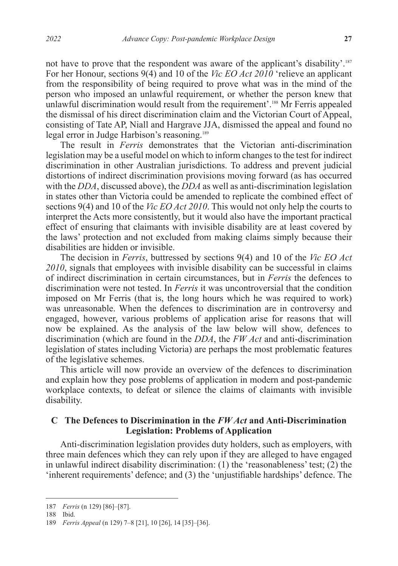not have to prove that the respondent was aware of the applicant's disability'.187 For her Honour, sections 9(4) and 10 of the *Vic EO Act 2010* 'relieve an applicant from the responsibility of being required to prove what was in the mind of the person who imposed an unlawful requirement, or whether the person knew that unlawful discrimination would result from the requirement'.<sup>188</sup> Mr Ferris appealed the dismissal of his direct discrimination claim and the Victorian Court of Appeal, consisting of Tate AP, Niall and Hargrave JJA, dismissed the appeal and found no legal error in Judge Harbison's reasoning.189

The result in *Ferris* demonstrates that the Victorian anti-discrimination legislation may be a useful model on which to inform changes to the test for indirect discrimination in other Australian jurisdictions. To address and prevent judicial distortions of indirect discrimination provisions moving forward (as has occurred with the *DDA*, discussed above), the *DDA* as well as anti-discrimination legislation in states other than Victoria could be amended to replicate the combined effect of sections 9(4) and 10 of the *Vic EO Act 2010*. This would not only help the courts to interpret the Acts more consistently, but it would also have the important practical effect of ensuring that claimants with invisible disability are at least covered by the laws' protection and not excluded from making claims simply because their disabilities are hidden or invisible.

The decision in *Ferris*, buttressed by sections 9(4) and 10 of the *Vic EO Act 2010*, signals that employees with invisible disability can be successful in claims of indirect discrimination in certain circumstances, but in *Ferris* the defences to discrimination were not tested. In *Ferris* it was uncontroversial that the condition imposed on Mr Ferris (that is, the long hours which he was required to work) was unreasonable. When the defences to discrimination are in controversy and engaged, however, various problems of application arise for reasons that will now be explained. As the analysis of the law below will show, defences to discrimination (which are found in the *DDA*, the *FW Act* and anti-discrimination legislation of states including Victoria) are perhaps the most problematic features of the legislative schemes.

This article will now provide an overview of the defences to discrimination and explain how they pose problems of application in modern and post-pandemic workplace contexts, to defeat or silence the claims of claimants with invisible disability.

# **C The Defences to Discrimination in the** *FW Act* **and Anti-Discrimination Legislation: Problems of Application**

Anti-discrimination legislation provides duty holders, such as employers, with three main defences which they can rely upon if they are alleged to have engaged in unlawful indirect disability discrimination: (1) the 'reasonableness' test; (2) the 'inherent requirements' defence; and (3) the 'unjustifiable hardships' defence. The

<sup>187</sup> *Ferris* (n 129) [86]–[87].

<sup>188</sup> Ibid.

<sup>189</sup> *Ferris Appeal* (n 129) 7–8 [21], 10 [26], 14 [35]–[36].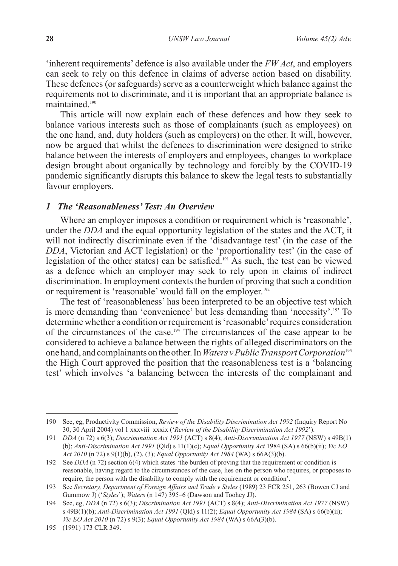'inherent requirements' defence is also available under the *FW Act*, and employers can seek to rely on this defence in claims of adverse action based on disability. These defences (or safeguards) serve as a counterweight which balance against the requirements not to discriminate, and it is important that an appropriate balance is maintained.190

This article will now explain each of these defences and how they seek to balance various interests such as those of complainants (such as employees) on the one hand, and, duty holders (such as employers) on the other. It will, however, now be argued that whilst the defences to discrimination were designed to strike balance between the interests of employers and employees, changes to workplace design brought about organically by technology and forcibly by the COVID-19 pandemic significantly disrupts this balance to skew the legal tests to substantially favour employers.

#### *1 The 'Reasonableness' Test: An Overview*

Where an employer imposes a condition or requirement which is 'reasonable', under the *DDA* and the equal opportunity legislation of the states and the ACT, it will not indirectly discriminate even if the 'disadvantage test' (in the case of the *DDA*, Victorian and ACT legislation) or the 'proportionality test' (in the case of legislation of the other states) can be satisfied.191 As such, the test can be viewed as a defence which an employer may seek to rely upon in claims of indirect discrimination. In employment contexts the burden of proving that such a condition or requirement is 'reasonable' would fall on the employer.<sup>192</sup>

The test of 'reasonableness' has been interpreted to be an objective test which is more demanding than 'convenience' but less demanding than 'necessity'.193 To determine whether a condition or requirement is 'reasonable' requires consideration of the circumstances of the case.<sup>194</sup> The circumstances of the case appear to be considered to achieve a balance between the rights of alleged discriminators on the one hand, and complainants on the other. In *Waters v Public Transport Corporation*<sup>195</sup> the High Court approved the position that the reasonableness test is a 'balancing test' which involves 'a balancing between the interests of the complainant and

<sup>190</sup> See, eg, Productivity Commission, *Review of the Disability Discrimination Act 1992* (Inquiry Report No 30, 30 April 2004) vol 1 xxxviii–xxxix ('*Review of the Disability Discrimination Act 1992*').

<sup>191</sup> *DDA* (n 72) s 6(3); *Discrimination Act 1991* (ACT) s 8(4); *Anti-Discrimination Act 1977* (NSW) s 49B(1) (b); *Anti-Discrimination Act 1991* (Qld) s 11(1)(c); *Equal Opportunity Act* 1984 (SA) s 66(b)(ii); *Vic EO Act 2010* (n 72) s 9(1)(b), (2), (3); *Equal Opportunity Act 1984* (WA) s 66A(3)(b).

<sup>192</sup> See *DDA* (n 72) section 6(4) which states 'the burden of proving that the requirement or condition is reasonable, having regard to the circumstances of the case, lies on the person who requires, or proposes to require, the person with the disability to comply with the requirement or condition'.

<sup>193</sup> See *Secretary, Department of Foreign Affairs and Trade v Styles* (1989) 23 FCR 251, 263 (Bowen CJ and Gummow J) ('*Styles*'); *Waters* (n 147) 395–6 (Dawson and Toohey JJ).

<sup>194</sup> See, eg, *DDA* (n 72) s 6(3); *Discrimination Act 1991* (ACT) s 8(4); *Anti-Discrimination Act 1977* (NSW) s 49B(1)(b); *Anti-Discrimination Act 1991* (Qld) s 11(2); *Equal Opportunity Act 1984* (SA) s 66(b)(ii); *Vic EO Act 2010* (n 72) s 9(3); *Equal Opportunity Act 1984* (WA) s 66A(3)(b).

<sup>195</sup> (1991) 173 CLR 349.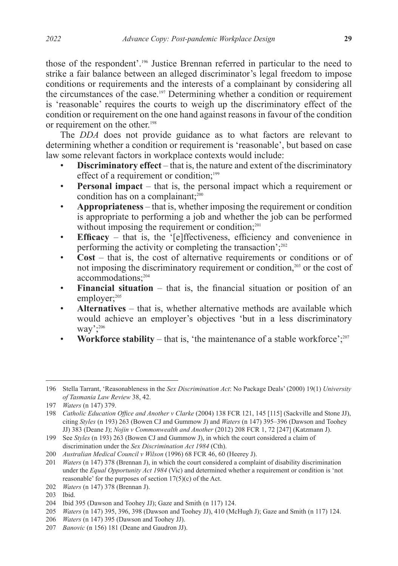those of the respondent'.196 Justice Brennan referred in particular to the need to strike a fair balance between an alleged discriminator's legal freedom to impose conditions or requirements and the interests of a complainant by considering all the circumstances of the case.197 Determining whether a condition or requirement is 'reasonable' requires the courts to weigh up the discriminatory effect of the condition or requirement on the one hand against reasons in favour of the condition or requirement on the other.198

The *DDA* does not provide guidance as to what factors are relevant to determining whether a condition or requirement is 'reasonable', but based on case law some relevant factors in workplace contexts would include:

- **Discriminatory effect** that is, the nature and extent of the discriminatory effect of a requirement or condition;<sup>199</sup>
- **Personal impact** that is, the personal impact which a requirement or condition has on a complainant; $200$
- **Appropriateness** that is, whether imposing the requirement or condition is appropriate to performing a job and whether the job can be performed without imposing the requirement or condition; $^{201}$
- **Efficacy** that is, the '[e]ffectiveness, efficiency and convenience in performing the activity or completing the transaction'; $^{202}$
- **Cost** that is, the cost of alternative requirements or conditions or of not imposing the discriminatory requirement or condition,<sup>203</sup> or the cost of accommodations;<sup>204</sup>
- **Financial situation** that is, the financial situation or position of an employer;<sup>205</sup>
- **Alternatives** that is, whether alternative methods are available which would achieve an employer's objectives 'but in a less discriminatory way':206
- **Workforce stability** that is, 'the maintenance of a stable workforce';<sup>207</sup>

<sup>196</sup> Stella Tarrant, 'Reasonableness in the *Sex Discrimination Act*: No Package Deals' (2000) 19(1) *University of Tasmania Law Review* 38, 42.

<sup>197</sup> *Waters* (n 147) 379.

<sup>198</sup> *Catholic Education Office and Another v Clarke* (2004) 138 FCR 121, 145 [115] (Sackville and Stone JJ), citing *Styles* (n 193) 263 (Bowen CJ and Gummow J) and *Waters* (n 147) 395–396 (Dawson and Toohey JJ) 383 (Deane J); *Nojin v Commonwealth and Another* (2012) 208 FCR 1, 72 [247] (Katzmann J).

<sup>199</sup> See *Styles* (n 193) 263 (Bowen CJ and Gummow J), in which the court considered a claim of discrimination under the *Sex Discrimination Act 1984* (Cth).

<sup>200</sup> *Australian Medical Council v Wilson* (1996) 68 FCR 46, 60 (Heerey J).

<sup>201</sup> *Waters* (n 147) 378 (Brennan J), in which the court considered a complaint of disability discrimination under the *Equal Opportunity Act 1984* (Vic) and determined whether a requirement or condition is 'not reasonable' for the purposes of section  $17(5)(c)$  of the Act.

<sup>202</sup> *Waters* (n 147) 378 (Brennan J).

<sup>203</sup> Ibid.

<sup>204</sup> Ibid 395 (Dawson and Toohey JJ); Gaze and Smith (n 117) 124.

<sup>205</sup> *Waters* (n 147) 395, 396, 398 (Dawson and Toohey JJ), 410 (McHugh J); Gaze and Smith (n 117) 124.

<sup>206</sup> *Waters* (n 147) 395 (Dawson and Toohey JJ).

<sup>207</sup> *Banovic* (n 156) 181 (Deane and Gaudron JJ).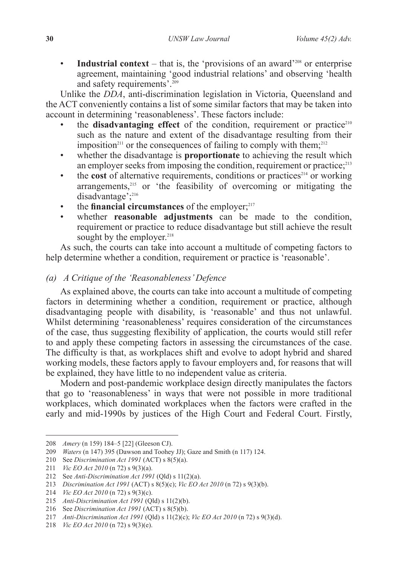• **Industrial context** – that is, the 'provisions of an award'<sup>208</sup> or enterprise agreement, maintaining 'good industrial relations' and observing 'health and safety requirements'.209

Unlike the *DDA*, anti-discrimination legislation in Victoria, Queensland and the ACT conveniently contains a list of some similar factors that may be taken into account in determining 'reasonableness'. These factors include:

- the **disadvantaging effect** of the condition, requirement or practice<sup>210</sup> such as the nature and extent of the disadvantage resulting from their imposition<sup>211</sup> or the consequences of failing to comply with them;<sup>212</sup>
- whether the disadvantage is **proportionate** to achieving the result which an employer seeks from imposing the condition, requirement or practice; $^{213}$
- the **cost** of alternative requirements, conditions or practices<sup>214</sup> or working arrangements,<sup>215</sup> or 'the feasibility of overcoming or mitigating the disadvantage<sup>'</sup>;<sup>216</sup>
- the **financial circumstances** of the employer; $217$ <br>• whether **reasonable** adjustments can be
- whether **reasonable adjustments** can be made to the condition, requirement or practice to reduce disadvantage but still achieve the result sought by the employer.<sup>218</sup>

As such, the courts can take into account a multitude of competing factors to help determine whether a condition, requirement or practice is 'reasonable'.

# *(a) A Critique of the 'Reasonableness' Defence*

As explained above, the courts can take into account a multitude of competing factors in determining whether a condition, requirement or practice, although disadvantaging people with disability, is 'reasonable' and thus not unlawful. Whilst determining 'reasonableness' requires consideration of the circumstances of the case, thus suggesting flexibility of application, the courts would still refer to and apply these competing factors in assessing the circumstances of the case. The difficulty is that, as workplaces shift and evolve to adopt hybrid and shared working models, these factors apply to favour employers and, for reasons that will be explained, they have little to no independent value as criteria.

Modern and post-pandemic workplace design directly manipulates the factors that go to 'reasonableness' in ways that were not possible in more traditional workplaces, which dominated workplaces when the factors were crafted in the early and mid-1990s by justices of the High Court and Federal Court. Firstly,

<sup>208</sup> *Amery* (n 159) 184–5 [22] (Gleeson CJ).

<sup>209</sup> *Waters* (n 147) 395 (Dawson and Toohey JJ); Gaze and Smith (n 117) 124.

<sup>210</sup> See *Discrimination Act 1991* (ACT) s 8(5)(a).

<sup>211</sup> *Vic EO Act 2010* (n 72) s 9(3)(a).

<sup>212</sup> See *Anti-Discrimination Act 1991* (Qld) s 11(2)(a).

<sup>213</sup> *Discrimination Act 1991* (ACT) s 8(5)(c); *Vic EO Act 2010* (n 72) s 9(3)(b).

<sup>214</sup> *Vic EO Act 2010* (n 72) s 9(3)(c).

<sup>215</sup> *Anti-Discrimination Act 1991* (Qld) s 11(2)(b).

<sup>216</sup> See *Discrimination Act 1991* (ACT) s 8(5)(b).

<sup>217</sup> *Anti-Discrimination Act 1991* (Qld) s 11(2)(c); *Vic EO Act 2010* (n 72) s 9(3)(d).

<sup>218</sup> *Vic EO Act 2010* (n 72) s 9(3)(e).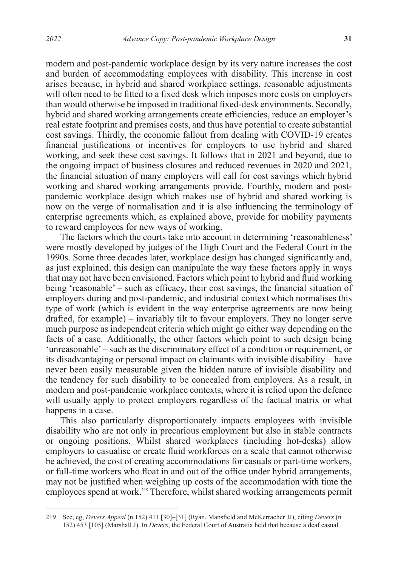modern and post-pandemic workplace design by its very nature increases the cost and burden of accommodating employees with disability. This increase in cost arises because, in hybrid and shared workplace settings, reasonable adjustments will often need to be fitted to a fixed desk which imposes more costs on employers than would otherwise be imposed in traditional fixed-desk environments. Secondly, hybrid and shared working arrangements create efficiencies, reduce an employer's real estate footprint and premises costs, and thus have potential to create substantial cost savings. Thirdly, the economic fallout from dealing with COVID-19 creates financial justifications or incentives for employers to use hybrid and shared working, and seek these cost savings. It follows that in 2021 and beyond, due to the ongoing impact of business closures and reduced revenues in 2020 and 2021, the financial situation of many employers will call for cost savings which hybrid working and shared working arrangements provide. Fourthly, modern and postpandemic workplace design which makes use of hybrid and shared working is now on the verge of normalisation and it is also influencing the terminology of enterprise agreements which, as explained above, provide for mobility payments to reward employees for new ways of working.

The factors which the courts take into account in determining 'reasonableness' were mostly developed by judges of the High Court and the Federal Court in the 1990s. Some three decades later, workplace design has changed significantly and, as just explained, this design can manipulate the way these factors apply in ways that may not have been envisioned. Factors which point to hybrid and fluid working being 'reasonable' – such as efficacy, their cost savings, the financial situation of employers during and post-pandemic, and industrial context which normalises this type of work (which is evident in the way enterprise agreements are now being drafted, for example) – invariably tilt to favour employers. They no longer serve much purpose as independent criteria which might go either way depending on the facts of a case. Additionally, the other factors which point to such design being 'unreasonable' – such as the discriminatory effect of a condition or requirement, or its disadvantaging or personal impact on claimants with invisible disability – have never been easily measurable given the hidden nature of invisible disability and the tendency for such disability to be concealed from employers. As a result, in modern and post-pandemic workplace contexts, where it is relied upon the defence will usually apply to protect employers regardless of the factual matrix or what happens in a case.

This also particularly disproportionately impacts employees with invisible disability who are not only in precarious employment but also in stable contracts or ongoing positions. Whilst shared workplaces (including hot-desks) allow employers to casualise or create fluid workforces on a scale that cannot otherwise be achieved, the cost of creating accommodations for casuals or part-time workers, or full-time workers who float in and out of the office under hybrid arrangements, may not be justified when weighing up costs of the accommodation with time the employees spend at work.<sup>219</sup> Therefore, whilst shared working arrangements permit

<sup>219</sup> See, eg, *Devers Appeal* (n 152) 411 [30]–[31] (Ryan, Mansfield and McKerracher JJ), citing *Devers* (n 152) 453 [105] (Marshall J). In *Devers*, the Federal Court of Australia held that because a deaf casual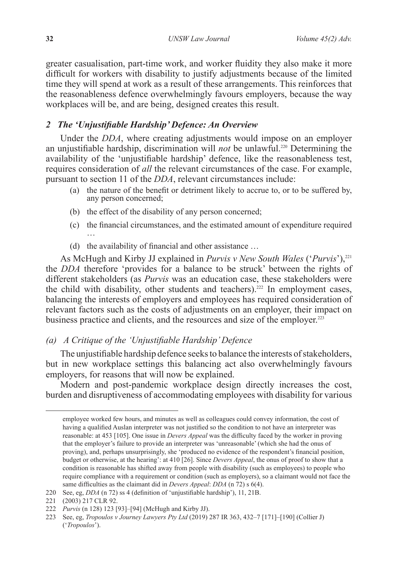greater casualisation, part-time work, and worker fluidity they also make it more difficult for workers with disability to justify adjustments because of the limited time they will spend at work as a result of these arrangements. This reinforces that the reasonableness defence overwhelmingly favours employers, because the way workplaces will be, and are being, designed creates this result.

# *2 The 'Unjustifiable Hardship' Defence: An Overview*

Under the *DDA*, where creating adjustments would impose on an employer an unjustifiable hardship, discrimination will *not* be unlawful.220 Determining the availability of the 'unjustifiable hardship' defence, like the reasonableness test, requires consideration of *all* the relevant circumstances of the case. For example, pursuant to section 11 of the *DDA*, relevant circumstances include:

- (a) the nature of the benefit or detriment likely to accrue to, or to be suffered by, any person concerned;
- (b) the effect of the disability of any person concerned;
- (c) the financial circumstances, and the estimated amount of expenditure required …
- (d) the availability of financial and other assistance …

As McHugh and Kirby JJ explained in *Purvis v New South Wales* ('*Purvis*'),<sup>221</sup> the *DDA* therefore 'provides for a balance to be struck' between the rights of different stakeholders (as *Purvis* was an education case, these stakeholders were the child with disability, other students and teachers).<sup>222</sup> In employment cases, balancing the interests of employers and employees has required consideration of relevant factors such as the costs of adjustments on an employer, their impact on business practice and clients, and the resources and size of the employer.<sup>223</sup>

# *(a) A Critique of the 'Unjustifiable Hardship' Defence*

The unjustifiable hardship defence seeks to balance the interests of stakeholders, but in new workplace settings this balancing act also overwhelmingly favours employers, for reasons that will now be explained.

Modern and post-pandemic workplace design directly increases the cost, burden and disruptiveness of accommodating employees with disability for various

employee worked few hours, and minutes as well as colleagues could convey information, the cost of having a qualified Auslan interpreter was not justified so the condition to not have an interpreter was reasonable: at 453 [105]. One issue in *Devers Appeal* was the difficulty faced by the worker in proving that the employer's failure to provide an interpreter was 'unreasonable' (which she had the onus of proving), and, perhaps unsurprisingly, she 'produced no evidence of the respondent's financial position, budget or otherwise, at the hearing': at 410 [26]. Since *Devers Appeal*, the onus of proof to show that a condition is reasonable has shifted away from people with disability (such as employees) to people who require compliance with a requirement or condition (such as employers), so a claimant would not face the same difficulties as the claimant did in *Devers Appeal*: *DDA* (n 72) s 6(4).

<sup>220</sup> See, eg, *DDA* (n 72) ss 4 (definition of 'unjustifiable hardship'), 11, 21B.

<sup>221</sup> (2003) 217 CLR 92.

<sup>222</sup> *Purvis* (n 128) 123 [93]–[94] (McHugh and Kirby JJ).

<sup>223</sup> See, eg, *Tropoulos v Journey Lawyers Pty Ltd* (2019) 287 IR 363, 432–7 [171]–[190] (Collier J) ('*Tropoulos*').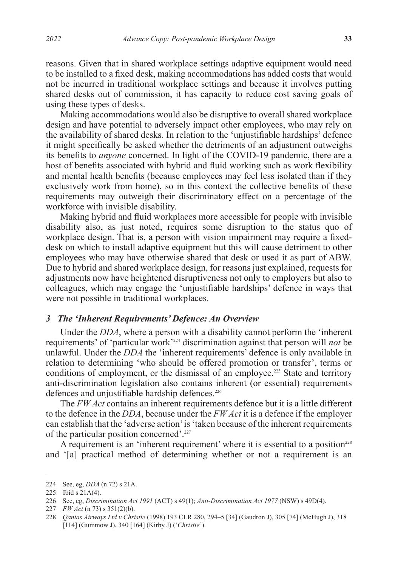reasons. Given that in shared workplace settings adaptive equipment would need to be installed to a fixed desk, making accommodations has added costs that would not be incurred in traditional workplace settings and because it involves putting shared desks out of commission, it has capacity to reduce cost saving goals of using these types of desks.

Making accommodations would also be disruptive to overall shared workplace design and have potential to adversely impact other employees, who may rely on the availability of shared desks. In relation to the 'unjustifiable hardships' defence it might specifically be asked whether the detriments of an adjustment outweighs its benefits to *anyone* concerned. In light of the COVID-19 pandemic, there are a host of benefits associated with hybrid and fluid working such as work flexibility and mental health benefits (because employees may feel less isolated than if they exclusively work from home), so in this context the collective benefits of these requirements may outweigh their discriminatory effect on a percentage of the workforce with invisible disability.

Making hybrid and fluid workplaces more accessible for people with invisible disability also, as just noted, requires some disruption to the status quo of workplace design. That is, a person with vision impairment may require a fixeddesk on which to install adaptive equipment but this will cause detriment to other employees who may have otherwise shared that desk or used it as part of ABW. Due to hybrid and shared workplace design, for reasons just explained, requests for adjustments now have heightened disruptiveness not only to employers but also to colleagues, which may engage the 'unjustifiable hardships' defence in ways that were not possible in traditional workplaces.

# *3 The 'Inherent Requirements' Defence: An Overview*

Under the *DDA*, where a person with a disability cannot perform the 'inherent requirements' of 'particular work'224 discrimination against that person will *not* be unlawful. Under the *DDA* the 'inherent requirements' defence is only available in relation to determining 'who should be offered promotion or transfer', terms or conditions of employment, or the dismissal of an employee.<sup>225</sup> State and territory anti-discrimination legislation also contains inherent (or essential) requirements defences and unjustifiable hardship defences.<sup>226</sup>

The *FW Act* contains an inherent requirements defence but it is a little different to the defence in the *DDA*, because under the *FW Act* it is a defence if the employer can establish that the 'adverse action' is 'taken because of the inherent requirements of the particular position concerned'.227

A requirement is an 'inherent requirement' where it is essential to a position<sup>228</sup> and '[a] practical method of determining whether or not a requirement is an

<sup>224</sup> See, eg, *DDA* (n 72) s 21A.

<sup>225</sup> Ibid s 21A(4).

<sup>226</sup> See, eg, *Discrimination Act 1991* (ACT) s 49(1); *Anti-Discrimination Act 1977* (NSW) s 49D(4).

<sup>227</sup> *FW Act* (n 73) s 351(2)(b).

<sup>228</sup> *Qantas Airways Ltd v Christie* (1998) 193 CLR 280, 294–5 [34] (Gaudron J), 305 [74] (McHugh J), 318 [114] (Gummow J), 340 [164] (Kirby J) ('*Christie*').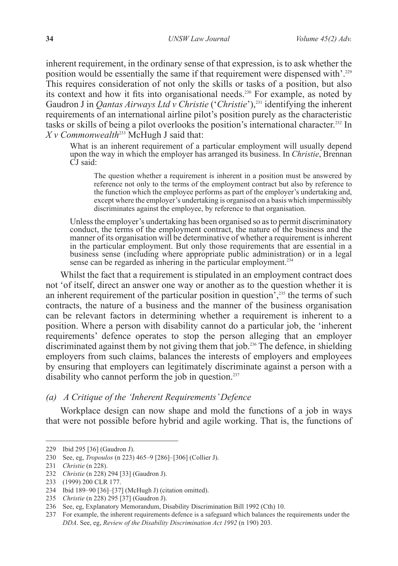inherent requirement, in the ordinary sense of that expression, is to ask whether the position would be essentially the same if that requirement were dispensed with'.229 This requires consideration of not only the skills or tasks of a position, but also its context and how it fits into organisational needs.230 For example, as noted by Gaudron J in *Qantas Airways Ltd v Christie* ('*Christie*'),<sup>231</sup> identifying the inherent requirements of an international airline pilot's position purely as the characteristic tasks or skills of being a pilot overlooks the position's international character.232 In *X v Commonwealth*<sup>233</sup> McHugh J said that:

What is an inherent requirement of a particular employment will usually depend upon the way in which the employer has arranged its business. In *Christie*, Brennan CJ said:

The question whether a requirement is inherent in a position must be answered by reference not only to the terms of the employment contract but also by reference to the function which the employee performs as part of the employer's undertaking and, except where the employer's undertaking is organised on a basis which impermissibly discriminates against the employee, by reference to that organisation.

Unless the employer's undertaking has been organised so as to permit discriminatory conduct, the terms of the employment contract, the nature of the business and the manner of its organisation will be determinative of whether a requirement is inherent in the particular employment. But only those requirements that are essential in a business sense (including where appropriate public administration) or in a legal sense can be regarded as inhering in the particular employment.<sup>234</sup>

Whilst the fact that a requirement is stipulated in an employment contract does not 'of itself, direct an answer one way or another as to the question whether it is an inherent requirement of the particular position in question<sup> $2,35$ </sup> the terms of such contracts, the nature of a business and the manner of the business organisation can be relevant factors in determining whether a requirement is inherent to a position. Where a person with disability cannot do a particular job, the 'inherent requirements' defence operates to stop the person alleging that an employer discriminated against them by not giving them that job.<sup>236</sup> The defence, in shielding employers from such claims, balances the interests of employers and employees by ensuring that employers can legitimately discriminate against a person with a disability who cannot perform the job in question.<sup>237</sup>

### *(a) A Critique of the 'Inherent Requirements' Defence*

Workplace design can now shape and mold the functions of a job in ways that were not possible before hybrid and agile working. That is, the functions of

<sup>229</sup> Ibid 295 [36] (Gaudron J).

<sup>230</sup> See, eg, *Tropoulos* (n 223) 465–9 [286]–[306] (Collier J).

<sup>231</sup> *Christie* (n 228).

<sup>232</sup> *Christie* (n 228) 294 [33] (Gaudron J).

<sup>233</sup> (1999) 200 CLR 177.

<sup>234</sup> Ibid 189–90 [36]–[37] (McHugh J) (citation omitted).

<sup>235</sup> *Christie* (n 228) 295 [37] (Gaudron J).

<sup>236</sup> See, eg, Explanatory Memorandum, Disability Discrimination Bill 1992 (Cth) 10.

<sup>237</sup> For example, the inherent requirements defence is a safeguard which balances the requirements under the *DDA*. See, eg, *Review of the Disability Discrimination Act 1992* (n 190) 203.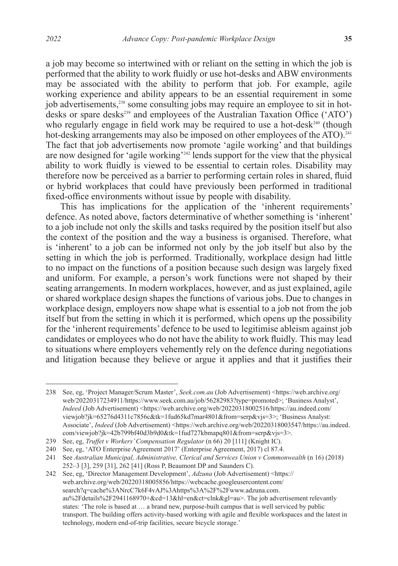a job may become so intertwined with or reliant on the setting in which the job is performed that the ability to work fluidly or use hot-desks and ABW environments may be associated with the ability to perform that job. For example, agile working experience and ability appears to be an essential requirement in some job advertisements,<sup>238</sup> some consulting jobs may require an employee to sit in hotdesks or spare desks<sup>239</sup> and employees of the Australian Taxation Office ('ATO') who regularly engage in field work may be required to use a hot-desk<sup>240</sup> (though hot-desking arrangements may also be imposed on other employees of the ATO).<sup>241</sup> The fact that job advertisements now promote 'agile working' and that buildings are now designed for 'agile working'<sup>242</sup> lends support for the view that the physical ability to work fluidly is viewed to be essential to certain roles. Disability may therefore now be perceived as a barrier to performing certain roles in shared, fluid or hybrid workplaces that could have previously been performed in traditional fixed-office environments without issue by people with disability.

This has implications for the application of the 'inherent requirements' defence. As noted above, factors determinative of whether something is 'inherent' to a job include not only the skills and tasks required by the position itself but also the context of the position and the way a business is organised. Therefore, what is 'inherent' to a job can be informed not only by the job itself but also by the setting in which the job is performed. Traditionally, workplace design had little to no impact on the functions of a position because such design was largely fixed and uniform. For example, a person's work functions were not shaped by their seating arrangements. In modern workplaces, however, and as just explained, agile or shared workplace design shapes the functions of various jobs. Due to changes in workplace design, employers now shape what is essential to a job not from the job itself but from the setting in which it is performed, which opens up the possibility for the 'inherent requirements' defence to be used to legitimise ableism against job candidates or employees who do not have the ability to work fluidly. This may lead to situations where employers vehemently rely on the defence during negotiations and litigation because they believe or argue it applies and that it justifies their

<sup>238</sup> See, eg, 'Project Manager/Scrum Master', *Seek.com.au* (Job Advertisement) <https://web.archive.org/ web/20220317234911/https://www.seek.com.au/job/56282983?type=promoted>; 'Business Analyst', *Indeed* (Job Advertisement) <https://web.archive.org/web/20220318002516/https://au.indeed.com/ viewjob?jk=65276d4311c7856c&tk=1fud65kd7mar4801&from=serp&vjs=3>; 'Business Analyst: Associate', *Indeed* (Job Advertisement) <https://web.archive.org/web/20220318003547/https://au.indeed. com/viewjob?jk=42b799bf40d3b9d0&tk=1fud727kbmapq801&from=serp&vjs=3>.

<sup>239</sup> See, eg, *Truffet v Workers' Compensation Regulator* (n 66) 20 [111] (Knight IC).

<sup>240</sup> See, eg, 'ATO Enterprise Agreement 2017' (Enterprise Agreement, 2017) cl 87.4.

<sup>241</sup> See *Australian Municipal, Administrative, Clerical and Services Union v Commonwealth* (n 16) (2018) 252–3 [3], 259 [31], 262 [41] (Ross P, Beaumont DP and Saunders C).

<sup>242</sup> See, eg, 'Director Management Development', *Adzuna* (Job Advertisement) <https:// web.archive.org/web/20220318005856/https://webcache.googleusercontent.com/ search?q=cache%3ANrcC7k6F4vAJ%3Ahttps%3A%2F%2Fwww.adzuna.com. au%2Fdetails%2F2941168970+&cd=13&hl=en&ct=clnk&gl=au>. The job advertisement relevantly states: 'The role is based at … a brand new, purpose-built campus that is well serviced by public transport. The building offers activity-based working with agile and flexible workspaces and the latest in technology, modern end-of-trip facilities, secure bicycle storage.'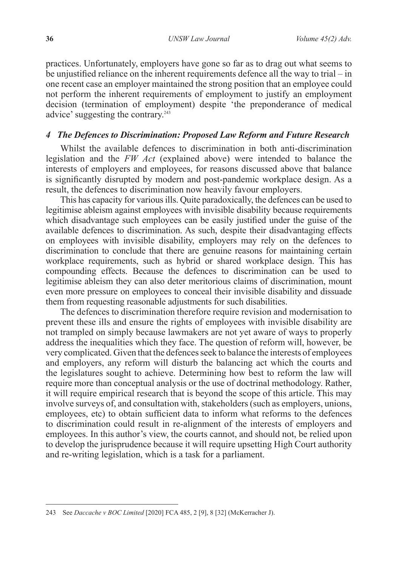practices. Unfortunately, employers have gone so far as to drag out what seems to be unjustified reliance on the inherent requirements defence all the way to trial – in one recent case an employer maintained the strong position that an employee could not perform the inherent requirements of employment to justify an employment decision (termination of employment) despite 'the preponderance of medical advice' suggesting the contrary.243

### *4 The Defences to Discrimination: Proposed Law Reform and Future Research*

Whilst the available defences to discrimination in both anti-discrimination legislation and the *FW Act* (explained above) were intended to balance the interests of employers and employees, for reasons discussed above that balance is significantly disrupted by modern and post-pandemic workplace design. As a result, the defences to discrimination now heavily favour employers.

This has capacity for various ills. Quite paradoxically, the defences can be used to legitimise ableism against employees with invisible disability because requirements which disadvantage such employees can be easily justified under the guise of the available defences to discrimination. As such, despite their disadvantaging effects on employees with invisible disability, employers may rely on the defences to discrimination to conclude that there are genuine reasons for maintaining certain workplace requirements, such as hybrid or shared workplace design. This has compounding effects. Because the defences to discrimination can be used to legitimise ableism they can also deter meritorious claims of discrimination, mount even more pressure on employees to conceal their invisible disability and dissuade them from requesting reasonable adjustments for such disabilities.

The defences to discrimination therefore require revision and modernisation to prevent these ills and ensure the rights of employees with invisible disability are not trampled on simply because lawmakers are not yet aware of ways to properly address the inequalities which they face. The question of reform will, however, be very complicated. Given that the defences seek to balance the interests of employees and employers, any reform will disturb the balancing act which the courts and the legislatures sought to achieve. Determining how best to reform the law will require more than conceptual analysis or the use of doctrinal methodology. Rather, it will require empirical research that is beyond the scope of this article. This may involve surveys of, and consultation with, stakeholders (such as employers, unions, employees, etc) to obtain sufficient data to inform what reforms to the defences to discrimination could result in re-alignment of the interests of employers and employees. In this author's view, the courts cannot, and should not, be relied upon to develop the jurisprudence because it will require upsetting High Court authority and re-writing legislation, which is a task for a parliament.

<sup>243</sup> See *Daccache v BOC Limited* [2020] FCA 485, 2 [9], 8 [32] (McKerracher J).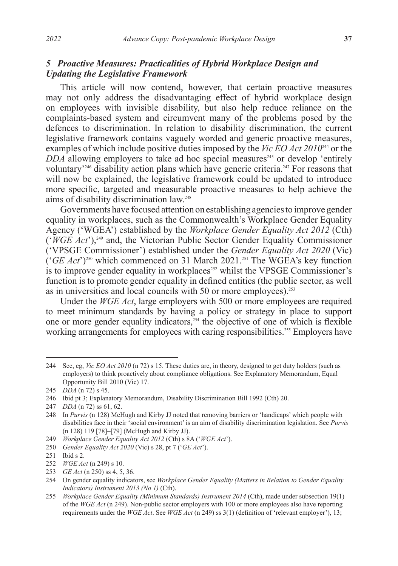# *5**Proactive Measures: Practicalities of Hybrid Workplace Design and Updating the Legislative Framework*

This article will now contend, however, that certain proactive measures may not only address the disadvantaging effect of hybrid workplace design on employees with invisible disability, but also help reduce reliance on the complaints-based system and circumvent many of the problems posed by the defences to discrimination. In relation to disability discrimination, the current legislative framework contains vaguely worded and generic proactive measures, examples of which include positive duties imposed by the *Vic EO Act 2010*244 or the  $DDA$  allowing employers to take ad hoc special measures<sup>245</sup> or develop 'entirely voluntary<sup>246</sup> disability action plans which have generic criteria.<sup>247</sup> For reasons that will now be explained, the legislative framework could be updated to introduce more specific, targeted and measurable proactive measures to help achieve the aims of disability discrimination law.<sup>248</sup>

Governments have focused attention on establishing agencies to improve gender equality in workplaces, such as the Commonwealth's Workplace Gender Equality Agency ('WGEA') established by the *Workplace Gender Equality Act 2012* (Cth) ('*WGE Act*'),249 and, the Victorian Public Sector Gender Equality Commissioner ('VPSGE Commissioner') established under the *Gender Equality Act 2020* (Vic) ('*GE Act*')250 which commenced on 31 March 2021.251 The WGEA's key function is to improve gender equality in workplaces<sup>252</sup> whilst the VPSGE Commissioner's function is to promote gender equality in defined entities (the public sector, as well as in universities and local councils with 50 or more employees).<sup>253</sup>

Under the *WGE Act*, large employers with 500 or more employees are required to meet minimum standards by having a policy or strategy in place to support one or more gender equality indicators, $254$  the objective of one of which is flexible working arrangements for employees with caring responsibilities.<sup>255</sup> Employers have

<sup>244</sup> See, eg, *Vic EO Act 2010* (n 72) s 15. These duties are, in theory, designed to get duty holders (such as employers) to think proactively about compliance obligations. See Explanatory Memorandum, Equal Opportunity Bill 2010 (Vic) 17.

<sup>245</sup> *DDA* (n 72) s 45.

<sup>246</sup> Ibid pt 3; Explanatory Memorandum, Disability Discrimination Bill 1992 (Cth) 20.

<sup>247</sup> *DDA* (n 72) ss 61, 62.

<sup>248</sup> In *Purvis* (n 128) McHugh and Kirby JJ noted that removing barriers or 'handicaps' which people with disabilities face in their 'social environment' is an aim of disability discrimination legislation. See *Purvis*  (n 128) 119 [78]–[79] (McHugh and Kirby JJ).

<sup>249</sup> *Workplace Gender Equality Act 2012* (Cth) s 8A ('*WGE Act*').

<sup>250</sup> *Gender Equality Act 2020* (Vic) s 28, pt 7 ('*GE Act*').

<sup>251</sup> Ibid s 2.

<sup>252</sup> *WGE Act* (n 249) s 10.

<sup>253</sup> *GE Act* (n 250) ss 4, 5, 36.

<sup>254</sup> On gender equality indicators, see *Workplace Gender Equality (Matters in Relation to Gender Equality Indicators) Instrument 2013 (No 1)* (Cth).

<sup>255</sup> *Workplace Gender Equality (Minimum Standards) Instrument 2014 (Cth), made under subsection 19(1)* of the *WGE Act* (n 249). Non-public sector employers with 100 or more employees also have reporting requirements under the *WGE Act*. See *WGE Act* (n 249) ss 3(1) (definition of 'relevant employer'), 13;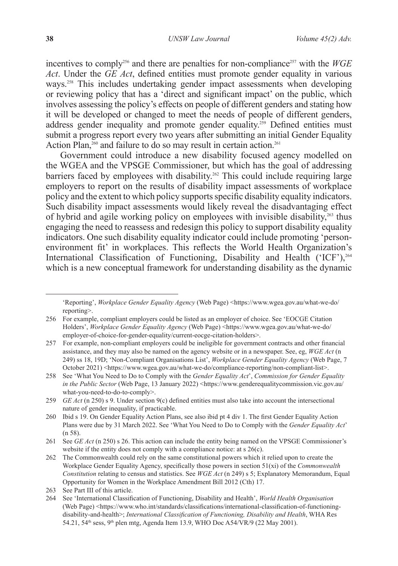incentives to comply<sup>256</sup> and there are penalties for non-compliance<sup>257</sup> with the *WGE Act*. Under the *GE Act*, defined entities must promote gender equality in various ways.<sup>258</sup> This includes undertaking gender impact assessments when developing or reviewing policy that has a 'direct and significant impact' on the public, which involves assessing the policy's effects on people of different genders and stating how it will be developed or changed to meet the needs of people of different genders, address gender inequality and promote gender equality.<sup>259</sup> Defined entities must submit a progress report every two years after submitting an initial Gender Equality Action Plan, $^{260}$  and failure to do so may result in certain action.<sup>261</sup>

Government could introduce a new disability focused agency modelled on the WGEA and the VPSGE Commissioner, but which has the goal of addressing barriers faced by employees with disability.<sup>262</sup> This could include requiring large employers to report on the results of disability impact assessments of workplace policy and the extent to which policy supports specific disability equality indicators. Such disability impact assessments would likely reveal the disadvantaging effect of hybrid and agile working policy on employees with invisible disability,263 thus engaging the need to reassess and redesign this policy to support disability equality indicators. One such disability equality indicator could include promoting 'personenvironment fit' in workplaces. This reflects the World Health Organization's International Classification of Functioning, Disability and Health ('ICF'), $^{264}$ which is a new conceptual framework for understanding disability as the dynamic

<sup>&#</sup>x27;Reporting', *Workplace Gender Equality Agency* (Web Page) <https://www.wgea.gov.au/what-we-do/ reporting>.

<sup>256</sup> For example, compliant employers could be listed as an employer of choice. See 'EOCGE Citation Holders', *Workplace Gender Equality Agency* (Web Page) <https://www.wgea.gov.au/what-we-do/ employer-of-choice-for-gender-equality/current-eocge-citation-holders>.

<sup>257</sup> For example, non-compliant employers could be ineligible for government contracts and other financial assistance, and they may also be named on the agency website or in a newspaper. See, eg, *WGE Act* (n 249) ss 18, 19D; 'Non-Compliant Organisations List', *Workplace Gender Equality Agency* (Web Page, 7 October 2021) <https://www.wgea.gov.au/what-we-do/compliance-reporting/non-compliant-list>.

<sup>258</sup> See 'What You Need to Do to Comply with the *Gender Equality Act*', *Commission for Gender Equality in the Public Sector* (Web Page, 13 January 2022) <https://www.genderequalitycommission.vic.gov.au/ what-you-need-to-do-to-comply>.

<sup>259</sup> *GE Act* (n 250) s 9. Under section 9(c) defined entities must also take into account the intersectional nature of gender inequality, if practicable.

<sup>260</sup> Ibid s 19. On Gender Equality Action Plans, see also ibid pt 4 div 1. The first Gender Equality Action Plans were due by 31 March 2022. See 'What You Need to Do to Comply with the *Gender Equality Act*' (n 58).

<sup>261</sup> See *GE Act* (n 250) s 26. This action can include the entity being named on the VPSGE Commissioner's website if the entity does not comply with a compliance notice: at s 26(c).

<sup>262</sup> The Commonwealth could rely on the same constitutional powers which it relied upon to create the Workplace Gender Equality Agency, specifically those powers in section 51(xi) of the *Commonwealth Constitution* relating to census and statistics. See *WGE Act* (n 249) s 5; Explanatory Memorandum, Equal Opportunity for Women in the Workplace Amendment Bill 2012 (Cth) 17.

<sup>263</sup> See Part III of this article.

<sup>264</sup> See 'International Classification of Functioning, Disability and Health', *World Health Organisation*  (Web Page) <https://www.who.int/standards/classifications/international-classification-of-functioningdisability-and-health>; *International Classification of Functioning, Disability and Health*, WHA Res 54.21, 54<sup>th</sup> sess, 9<sup>th</sup> plen mtg, Agenda Item 13.9, WHO Doc A54/VR/9 (22 May 2001).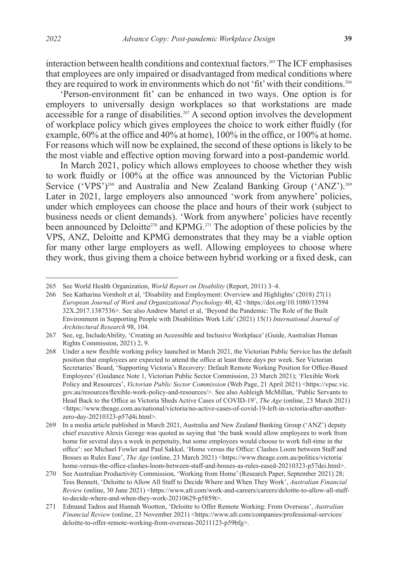interaction between health conditions and contextual factors.265 The ICF emphasises that employees are only impaired or disadvantaged from medical conditions where they are required to work in environments which do not 'fit' with their conditions.<sup>266</sup>

'Person-environment fit' can be enhanced in two ways. One option is for employers to universally design workplaces so that workstations are made accessible for a range of disabilities.<sup>267</sup> A second option involves the development of workplace policy which gives employees the choice to work either fluidly (for example, 60% at the office and 40% at home), 100% in the office, or 100% at home. For reasons which will now be explained, the second of these options is likely to be the most viable and effective option moving forward into a post-pandemic world.

In March 2021, policy which allows employees to choose whether they wish to work fluidly or 100% at the office was announced by the Victorian Public Service ('VPS<sup>'</sup>)<sup>268</sup> and Australia and New Zealand Banking Group ('ANZ').<sup>269</sup> Later in 2021, large employers also announced 'work from anywhere' policies, under which employees can choose the place and hours of their work (subject to business needs or client demands). 'Work from anywhere' policies have recently been announced by Deloitte<sup>270</sup> and KPMG.<sup>271</sup> The adoption of these policies by the VPS, ANZ, Deloitte and KPMG demonstrates that they may be a viable option for many other large employers as well. Allowing employees to choose where they work, thus giving them a choice between hybrid working or a fixed desk, can

<sup>265</sup> See World Health Organization, *World Report on Disability* (Report, 2011) 3–4.

<sup>266</sup> See Katharina Vornholt et al, 'Disability and Employment: Overview and Highlights' (2018) 27(1) *European Journal of Work and Organizational Psychology* 40, 42 <https://doi.org/10.1080/13594 32X.2017.1387536>. See also Andrew Martel et al, 'Beyond the Pandemic: The Role of the Built Environment in Supporting People with Disabilities Work Life' (2021) 15(1) *International Journal of Architectural Research* 98, 104.

<sup>267</sup> See, eg, IncludeAbility, 'Creating an Accessible and Inclusive Workplace' (Guide, Australian Human Rights Commission, 2021) 2, 9.

<sup>268</sup> Under a new flexible working policy launched in March 2021, the Victorian Public Service has the default position that employees are expected to attend the office at least three days per week. See Victorian Secretaries' Board, 'Supporting Victoria's Recovery: Default Remote Working Position for Office-Based Employees' (Guidance Note 1, Victorian Public Sector Commission, 23 March 2021); 'Flexible Work Policy and Resources', *Victorian Public Sector Commission* (Web Page, 21 April 2021) <https://vpsc.vic. gov.au/resources/flexible-work-policy-and-resources/>. See also Ashleigh McMillan, 'Public Servants to Head Back to the Office as Victoria Sheds Active Cases of COVID-19', *The Age* (online, 23 March 2021)  $\lt$ https://www.theage.com.au/national/victoria/no-active-cases-of-covid-19-left-in-victoria-after-anotherzero-day-20210323-p57d4i.html>.

<sup>269</sup> In a media article published in March 2021, Australia and New Zealand Banking Group ('ANZ') deputy chief executive Alexis George was quoted as saying that 'the bank would allow employees to work from home for several days a week in perpetuity, but some employees would choose to work full-time in the office': see Michael Fowler and Paul Sakkal, 'Home versus the Office: Clashes Loom between Staff and Bosses as Rules Ease', *The Age* (online, 23 March 2021) <https://www.theage.com.au/politics/victoria/ home-versus-the-office-clashes-loom-between-staff-and-bosses-as-rules-eased-20210323-p57dei.html>.

<sup>270</sup> See Australian Productivity Commission, 'Working from Home' (Research Paper, September 2021) 28; Tess Bennett, 'Deloitte to Allow All Staff to Decide Where and When They Work', *Australian Financial Review* (online, 30 June 2021) <https://www.afr.com/work-and-careers/careers/deloitte-to-allow-all-staffto-decide-where-and-when-they-work-20210629-p5859t>.

<sup>271</sup> Edmund Tadros and Hannah Wootton, 'Deloitte to Offer Remote Working: From Overseas', *Australian Financial Review* (online, 23 November 2021) <https://www.afr.com/companies/professional-services/ deloitte-to-offer-remote-working-from-overseas-20211123-p59bfg>.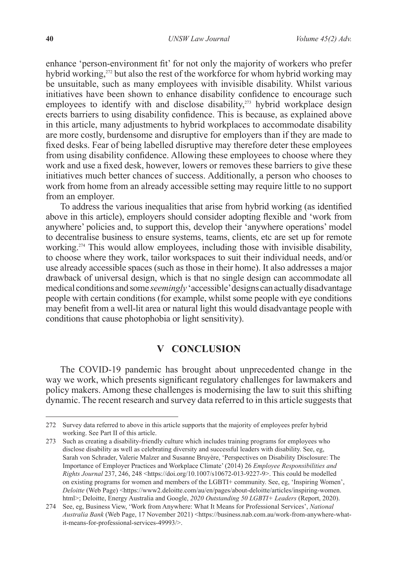enhance 'person-environment fit' for not only the majority of workers who prefer hybrid working,<sup>272</sup> but also the rest of the workforce for whom hybrid working may be unsuitable, such as many employees with invisible disability. Whilst various initiatives have been shown to enhance disability confidence to encourage such employees to identify with and disclose disability,<sup>273</sup> hybrid workplace design erects barriers to using disability confidence. This is because, as explained above in this article, many adjustments to hybrid workplaces to accommodate disability are more costly, burdensome and disruptive for employers than if they are made to fixed desks. Fear of being labelled disruptive may therefore deter these employees from using disability confidence. Allowing these employees to choose where they work and use a fixed desk, however, lowers or removes these barriers to give these initiatives much better chances of success. Additionally, a person who chooses to work from home from an already accessible setting may require little to no support from an employer.

To address the various inequalities that arise from hybrid working (as identified above in this article), employers should consider adopting flexible and 'work from anywhere' policies and, to support this, develop their 'anywhere operations' model to decentralise business to ensure systems, teams, clients, etc are set up for remote working.274 This would allow employees, including those with invisible disability, to choose where they work, tailor workspaces to suit their individual needs, and/or use already accessible spaces (such as those in their home). It also addresses a major drawback of universal design, which is that no single design can accommodate all medical conditions and some *seemingly* 'accessible' designs can actually disadvantage people with certain conditions (for example, whilst some people with eye conditions may benefit from a well-lit area or natural light this would disadvantage people with conditions that cause photophobia or light sensitivity).

# **V CONCLUSION**

The COVID-19 pandemic has brought about unprecedented change in the way we work, which presents significant regulatory challenges for lawmakers and policy makers. Among these challenges is modernising the law to suit this shifting dynamic. The recent research and survey data referred to in this article suggests that

<sup>272</sup> Survey data referred to above in this article supports that the majority of employees prefer hybrid working. See Part II of this article.

<sup>273</sup> Such as creating a disability-friendly culture which includes training programs for employees who disclose disability as well as celebrating diversity and successful leaders with disability. See, eg, Sarah von Schrader, Valerie Malzer and Susanne Bruyère, 'Perspectives on Disability Disclosure: The Importance of Employer Practices and Workplace Climate' (2014) 26 *Employee Responsibilities and Rights Journal* 237, 246, 248 <https://doi.org/10.1007/s10672-013-9227-9>. This could be modelled on existing programs for women and members of the LGBTI+ community. See, eg, 'Inspiring Women', *Deloitte* (Web Page) <https://www2.deloitte.com/au/en/pages/about-deloitte/articles/inspiring-women. html>; Deloitte, Energy Australia and Google, *2020 Outstanding 50 LGBTI+ Leaders* (Report, 2020).

<sup>274</sup> See, eg, Business View, 'Work from Anywhere: What It Means for Professional Services', *National Australia Bank* (Web Page, 17 November 2021) <https://business.nab.com.au/work-from-anywhere-whatit-means-for-professional-services-49993/>.